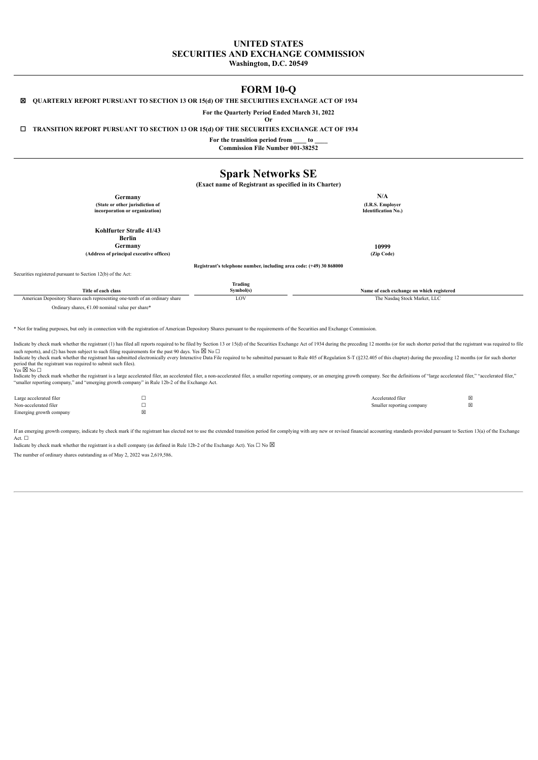# **UNITED STATES SECURITIES AND EXCHANGE COMMISSION**

**Washington, D.C. 20549**

# **FORM 10-Q**

☒ **QUARTERLY REPORT PURSUANT TO SECTION 13 OR 15(d) OF THE SECURITIES EXCHANGE ACT OF 1934**

**For the Quarterly Period Ended March 31, 2022 Or**

☐ **TRANSITION REPORT PURSUANT TO SECTION 13 OR 15(d) OF THE SECURITIES EXCHANGE ACT OF 1934**

**For the transition period from \_\_\_\_ to \_\_\_\_**

**Commission File Number 001-38252**

# **Spark Networks SE**

## **(Exact name of Registrant as specified in its Charter)**

| Germany                                                                                                                                                                        |                                                                     | N/A                                                                                                                                                                                                                            |
|--------------------------------------------------------------------------------------------------------------------------------------------------------------------------------|---------------------------------------------------------------------|--------------------------------------------------------------------------------------------------------------------------------------------------------------------------------------------------------------------------------|
| (State or other jurisdiction of                                                                                                                                                |                                                                     | (I.R.S. Employer                                                                                                                                                                                                               |
| incorporation or organization)                                                                                                                                                 |                                                                     | <b>Identification No.)</b>                                                                                                                                                                                                     |
|                                                                                                                                                                                |                                                                     |                                                                                                                                                                                                                                |
| Kohlfurter Straße 41/43                                                                                                                                                        |                                                                     |                                                                                                                                                                                                                                |
| <b>Berlin</b>                                                                                                                                                                  |                                                                     |                                                                                                                                                                                                                                |
| Germany                                                                                                                                                                        |                                                                     | 10999                                                                                                                                                                                                                          |
| (Address of principal executive offices)                                                                                                                                       |                                                                     | (Zip Code)                                                                                                                                                                                                                     |
|                                                                                                                                                                                |                                                                     |                                                                                                                                                                                                                                |
|                                                                                                                                                                                | Registrant's telephone number, including area code: (+49) 30 868000 |                                                                                                                                                                                                                                |
| Securities registered pursuant to Section 12(b) of the Act:                                                                                                                    |                                                                     |                                                                                                                                                                                                                                |
|                                                                                                                                                                                | Trading                                                             |                                                                                                                                                                                                                                |
| Title of each class                                                                                                                                                            | Symbol(s)                                                           | Name of each exchange on which registered                                                                                                                                                                                      |
| American Depository Shares each representing one-tenth of an ordinary share                                                                                                    | LOV                                                                 | The Nasdaq Stock Market, LLC                                                                                                                                                                                                   |
| Ordinary shares, $\epsilon$ 1.00 nominal value per share*                                                                                                                      |                                                                     |                                                                                                                                                                                                                                |
| * Not for trading purposes, but only in connection with the registration of American Depository Shares pursuant to the requirements of the Securities and Exchange Commission. |                                                                     |                                                                                                                                                                                                                                |
|                                                                                                                                                                                |                                                                     |                                                                                                                                                                                                                                |
|                                                                                                                                                                                |                                                                     | Indicate by check mark whether the registrant (1) has filed all reports required to be filed by Section 13 or 15(d) of the Securities Exchange Act of 1934 during the preceding 12 months (or for such shorter period that the |
| such reports), and (2) has been subject to such filing requirements for the past 90 days. Yes $\boxtimes$ No $\Box$                                                            |                                                                     |                                                                                                                                                                                                                                |
| period that the registrant was required to submit such files).<br>Yes ⊠ No ⊓                                                                                                   |                                                                     | Indicate by check mark whether the registrant has submitted electronically every Interactive Data File required to be submitted pursuant to Rule 405 of Regulation S-T (§232.405 of this chapter) during the preceding 12 mont |
|                                                                                                                                                                                |                                                                     | Indicate by check mark whether the registrant is a large accelerated filer, an accelerated filer, a non-accelerated filer, a smaller reporting company, or an emerging growth company. See the definitions of "large accelerat |
| "smaller reporting company," and "emerging growth company" in Rule 12b-2 of the Exchange Act.                                                                                  |                                                                     |                                                                                                                                                                                                                                |

| Large accelerated filer    |     | Accelerated filer         |  |
|----------------------------|-----|---------------------------|--|
| Non-accelerated filer<br>. |     | Smaller reporting company |  |
| Emerging growth company    | . . |                           |  |

If an emerging growth company, indicate by check mark if the registrant has elected not to use the extended transition period for complying with any new or revised financial accounting standards provided pursuant to Sectio  $Act. \Box$ 

Indicate by check mark whether the registrant is a shell company (as defined in Rule 12b-2 of the Exchange Act). Yes  $\Box$  No  $\boxtimes$ 

The number of ordinary shares outstanding as of May 2, 2022 was 2,619,586.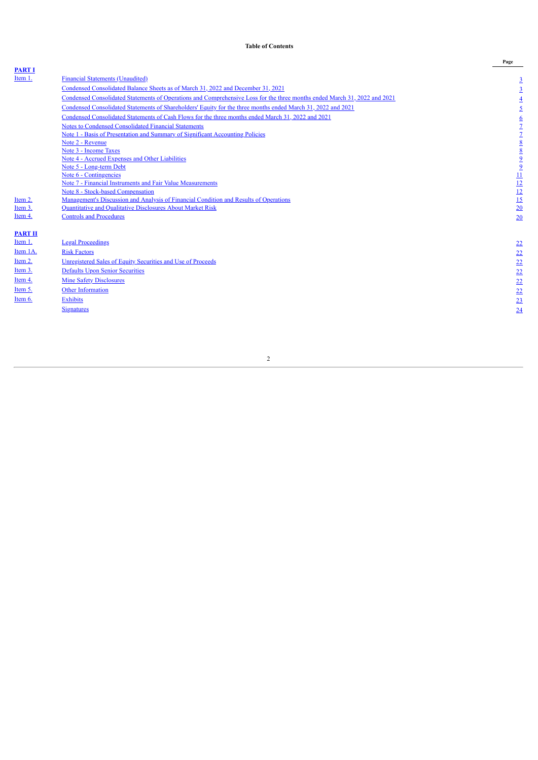|                |                                                                                                                           | ٠.                                              |
|----------------|---------------------------------------------------------------------------------------------------------------------------|-------------------------------------------------|
| <b>PART I</b>  |                                                                                                                           |                                                 |
| Item 1.        | <b>Financial Statements (Unaudited)</b>                                                                                   | 3                                               |
|                | Condensed Consolidated Balance Sheets as of March 31, 2022 and December 31, 2021                                          |                                                 |
|                | Condensed Consolidated Statements of Operations and Comprehensive Loss for the three months ended March 31, 2022 and 2021 |                                                 |
|                | Condensed Consolidated Statements of Shareholders' Equity for the three months ended March 31, 2022 and 2021              |                                                 |
|                | Condensed Consolidated Statements of Cash Flows for the three months ended March 31, 2022 and 2021                        |                                                 |
|                | <b>Notes to Condensed Consolidated Financial Statements</b>                                                               | $rac{6}{7}$                                     |
|                | Note 1 - Basis of Presentation and Summary of Significant Accounting Policies                                             |                                                 |
|                | Note 2 - Revenue                                                                                                          | $\frac{28}{8}$                                  |
|                | Note 3 - Income Taxes                                                                                                     |                                                 |
|                | Note 4 - Accrued Expenses and Other Liabilities                                                                           |                                                 |
|                | Note 5 - Long-term Debt                                                                                                   |                                                 |
|                | <b>Note 6 - Contingencies</b>                                                                                             |                                                 |
|                | <b>Note 7 - Financial Instruments and Fair Value Measurements</b>                                                         | $\frac{11}{12}$ $\frac{12}{15}$ $\frac{15}{20}$ |
|                | <b>Note 8 - Stock-based Compensation</b>                                                                                  |                                                 |
| Item 2.        | Management's Discussion and Analysis of Financial Condition and Results of Operations                                     |                                                 |
| Item 3.        | Quantitative and Qualitative Disclosures About Market Risk                                                                |                                                 |
| Item 4.        | <b>Controls and Procedures</b>                                                                                            | 20                                              |
|                |                                                                                                                           |                                                 |
| <b>PART II</b> |                                                                                                                           |                                                 |
| Item 1.        | <b>Legal Proceedings</b>                                                                                                  | 22                                              |
| Item 1A.       | <b>Risk Factors</b>                                                                                                       | 22                                              |
| Item 2.        | Unregistered Sales of Equity Securities and Use of Proceeds                                                               | $\overline{22}$                                 |
| Item 3.        | <b>Defaults Upon Senior Securities</b>                                                                                    | $\overline{22}$                                 |
| Item 4.        | <b>Mine Safety Disclosures</b>                                                                                            | $\overline{22}$                                 |
| Item 5.        | <b>Other Information</b>                                                                                                  | 22                                              |
| Item 6.        | <b>Exhibits</b>                                                                                                           | 23                                              |

**Page**

2

<span id="page-1-0"></span> $\frac{24}{2}$  $\frac{24}{2}$  $\frac{24}{2}$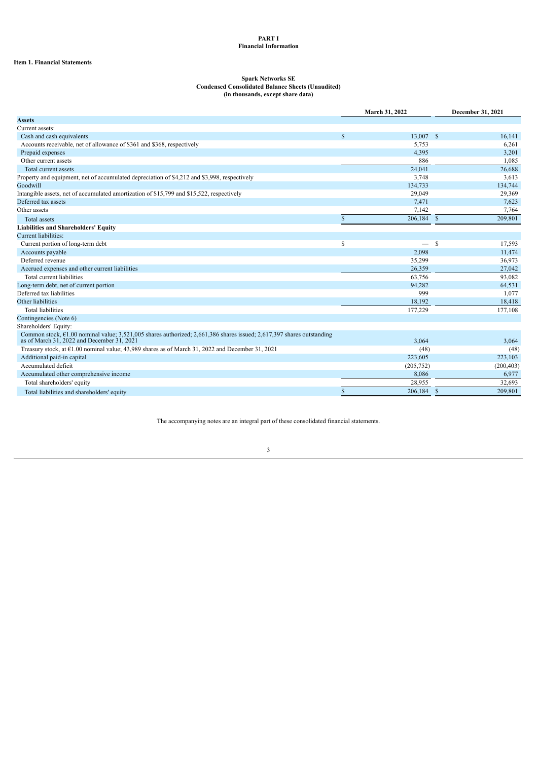## **PART I Financial Information**

## <span id="page-2-1"></span><span id="page-2-0"></span>**Item 1. Financial Statements**

#### **Spark Networks SE Condensed Consolidated Balance Sheets (Unaudited) (in thousands, except share data)**

|                                                                                                                                                                               |              | March 31, 2022           |              | December 31, 2021 |  |  |
|-------------------------------------------------------------------------------------------------------------------------------------------------------------------------------|--------------|--------------------------|--------------|-------------------|--|--|
| <b>Assets</b>                                                                                                                                                                 |              |                          |              |                   |  |  |
| Current assets:                                                                                                                                                               |              |                          |              |                   |  |  |
| Cash and cash equivalents                                                                                                                                                     | $\mathbb{S}$ | $13,007$ \$              |              | 16,141            |  |  |
| Accounts receivable, net of allowance of \$361 and \$368, respectively                                                                                                        |              | 5,753                    |              | 6,261             |  |  |
| Prepaid expenses                                                                                                                                                              |              | 4,395                    |              | 3,201             |  |  |
| Other current assets                                                                                                                                                          |              | 886                      |              | 1,085             |  |  |
| Total current assets                                                                                                                                                          |              | 24,041                   |              | 26,688            |  |  |
| Property and equipment, net of accumulated depreciation of \$4,212 and \$3,998, respectively                                                                                  |              | 3,748                    |              | 3,613             |  |  |
| Goodwill                                                                                                                                                                      |              | 134,733                  |              | 134,744           |  |  |
| Intangible assets, net of accumulated amortization of \$15,799 and \$15,522, respectively                                                                                     |              | 29,049                   |              | 29,369            |  |  |
| Deferred tax assets                                                                                                                                                           |              | 7,471                    |              | 7,623             |  |  |
| Other assets                                                                                                                                                                  |              | 7,142                    |              | 7,764             |  |  |
| <b>Total</b> assets                                                                                                                                                           | \$           | 206,184                  | <sup>S</sup> | 209,801           |  |  |
| <b>Liabilities and Shareholders' Equity</b>                                                                                                                                   |              |                          |              |                   |  |  |
| <b>Current liabilities:</b>                                                                                                                                                   |              |                          |              |                   |  |  |
| Current portion of long-term debt                                                                                                                                             | \$           | $\overline{\phantom{0}}$ | -S           | 17,593            |  |  |
| Accounts payable                                                                                                                                                              |              | 2,098                    |              | 11,474            |  |  |
| Deferred revenue                                                                                                                                                              |              | 35,299                   |              | 36,973            |  |  |
| Accrued expenses and other current liabilities                                                                                                                                |              | 26,359                   |              | 27,042            |  |  |
| Total current liabilities                                                                                                                                                     |              | 63,756                   |              | 93,082            |  |  |
| Long-term debt, net of current portion                                                                                                                                        |              | 94,282                   |              | 64,531            |  |  |
| Deferred tax liabilities                                                                                                                                                      |              | 999                      |              | 1,077             |  |  |
| Other liabilities                                                                                                                                                             |              | 18,192                   |              | 18,418            |  |  |
| <b>Total liabilities</b>                                                                                                                                                      |              | 177,229                  |              | 177,108           |  |  |
| Contingencies (Note 6)                                                                                                                                                        |              |                          |              |                   |  |  |
| Shareholders' Equity:                                                                                                                                                         |              |                          |              |                   |  |  |
| Common stock, $\epsilon$ 1.00 nominal value; 3,521,005 shares authorized; 2,661,386 shares issued; 2,617,397 shares outstanding<br>as of March 31, 2022 and December 31, 2021 |              | 3,064                    |              | 3,064             |  |  |
| Treasury stock, at $\epsilon$ 1.00 nominal value; 43,989 shares as of March 31, 2022 and December 31, 2021                                                                    |              | (48)                     |              | (48)              |  |  |
| Additional paid-in capital                                                                                                                                                    |              | 223,605                  |              | 223,103           |  |  |
| Accumulated deficit                                                                                                                                                           |              | (205, 752)               |              | (200, 403)        |  |  |
| Accumulated other comprehensive income                                                                                                                                        |              | 8,086                    |              | 6,977             |  |  |
| Total shareholders' equity                                                                                                                                                    |              | 28,955                   |              | 32,693            |  |  |
| Total liabilities and shareholders' equity                                                                                                                                    | \$           | 206,184                  | $\mathbb{S}$ | 209,801           |  |  |

<span id="page-2-2"></span>The accompanying notes are an integral part of these consolidated financial statements.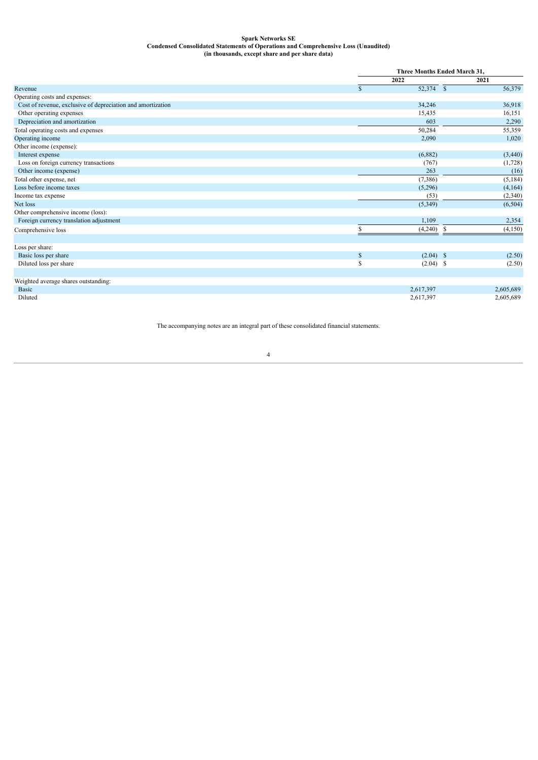#### **Spark Networks SE Condensed Consolidated Statements of Operations and Comprehensive Loss (Unaudited) (in thousands, except share and per share data)**

|                                                             |              | Three Months Ended March 31, |           |  |  |  |
|-------------------------------------------------------------|--------------|------------------------------|-----------|--|--|--|
|                                                             |              | 2022                         | 2021      |  |  |  |
| Revenue                                                     | $\mathbf{s}$ | 52,374 \$                    | 56,379    |  |  |  |
| Operating costs and expenses:                               |              |                              |           |  |  |  |
| Cost of revenue, exclusive of depreciation and amortization |              | 34,246                       | 36,918    |  |  |  |
| Other operating expenses                                    |              | 15,435                       | 16,151    |  |  |  |
| Depreciation and amortization                               |              | 603                          | 2,290     |  |  |  |
| Total operating costs and expenses                          |              | 50,284                       | 55,359    |  |  |  |
| Operating income                                            |              | 2,090                        | 1,020     |  |  |  |
| Other income (expense):                                     |              |                              |           |  |  |  |
| Interest expense                                            |              | (6,882)                      | (3,440)   |  |  |  |
| Loss on foreign currency transactions                       |              | (767)                        | (1,728)   |  |  |  |
| Other income (expense)                                      |              | 263                          | (16)      |  |  |  |
| Total other expense, net                                    |              | (7,386)                      | (5, 184)  |  |  |  |
| Loss before income taxes                                    |              | (5,296)                      | (4,164)   |  |  |  |
| Income tax expense                                          |              | (53)                         | (2,340)   |  |  |  |
| Net loss                                                    |              | (5, 349)                     | (6,504)   |  |  |  |
| Other comprehensive income (loss):                          |              |                              |           |  |  |  |
| Foreign currency translation adjustment                     |              | 1,109                        | 2,354     |  |  |  |
| Comprehensive loss                                          |              | (4,240)<br>-S                | (4,150)   |  |  |  |
| Loss per share:                                             |              |                              |           |  |  |  |
| Basic loss per share                                        | $\mathbb{S}$ | $(2.04)$ \$                  | (2.50)    |  |  |  |
| Diluted loss per share                                      | S            | $(2.04)$ \$                  | (2.50)    |  |  |  |
|                                                             |              |                              |           |  |  |  |
| Weighted average shares outstanding:                        |              |                              |           |  |  |  |
| <b>Basic</b>                                                |              | 2,617,397                    | 2,605,689 |  |  |  |
| Diluted                                                     |              | 2,617,397                    | 2,605,689 |  |  |  |

<span id="page-3-0"></span>The accompanying notes are an integral part of these consolidated financial statements.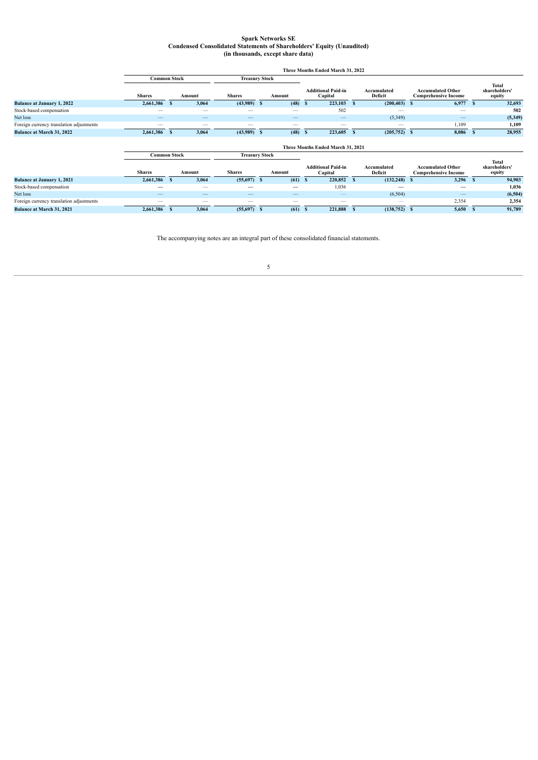#### **Spark Networks SE Condensed Consolidated Statements of Shareholders' Equity (Unaudited) (in thousands, except share data)**

|                                          |                          |    |                          |                       |      |                          |     | Three Months Ended March 31, 2022    |      |                          |     |                                                         |              |                                         |
|------------------------------------------|--------------------------|----|--------------------------|-----------------------|------|--------------------------|-----|--------------------------------------|------|--------------------------|-----|---------------------------------------------------------|--------------|-----------------------------------------|
|                                          | <b>Common Stock</b>      |    |                          | <b>Treasury Stock</b> |      |                          |     |                                      |      |                          |     |                                                         |              |                                         |
|                                          | <b>Shares</b>            |    | Amount                   | <b>Shares</b>         |      | Amount                   |     | <b>Additional Paid-in</b><br>Capital |      | Accumulated<br>Deficit   |     | <b>Accumulated Other</b><br><b>Comprehensive Income</b> |              | <b>Total</b><br>shareholders'<br>equity |
| Balance at January 1, 2022               | 2,661,386                | -8 | 3,064                    | $(43,989)$ \$         |      | (48) S                   |     | 223,103                              | - \$ | $(200, 403)$ S           |     | 6,977                                                   | $\mathbf{s}$ | 32,693                                  |
| Stock-based compensation                 | __                       |    | –                        |                       |      | $\overline{\phantom{0}}$ |     | 502                                  |      |                          |     | –                                                       |              | 502                                     |
| Net loss                                 | _                        |    | $\overline{\phantom{0}}$ |                       |      | $\qquad \qquad -$        |     | $\qquad \qquad -$                    |      | (5,349)                  |     |                                                         |              | (5, 349)                                |
| Foreign currency translation adjustments | —                        |    | –                        |                       |      |                          |     | $-$                                  |      |                          |     | 1,109                                                   |              | 1,109                                   |
| Balance at March 31, 2022                | 2,661,386                | -8 | 3,064                    | $(43,989)$ \$         |      | (48)                     | -S  | 223,605                              |      | $(205,752)$ \$           |     | 8,086                                                   | -5           | 28,955                                  |
|                                          |                          |    |                          |                       |      |                          |     | Three Months Ended March 31, 2021    |      |                          |     |                                                         |              |                                         |
|                                          | <b>Common Stock</b>      |    |                          | <b>Treasury Stock</b> |      |                          |     |                                      |      |                          |     |                                                         |              |                                         |
|                                          | <b>Shares</b>            |    | Amount                   | <b>Shares</b>         |      | Amount                   |     | <b>Additional Paid-in</b><br>Capital |      | Accumulated<br>Deficit   |     | <b>Accumulated Other</b><br><b>Comprehensive Income</b> |              | Total<br>shareholders'<br>equity        |
| Balance at January 1, 2021               | 2,661,386                |    | 3,064                    | (55,697)              | - S  | (61)                     | - S | 220,852                              |      | (132, 248)               | -S  | 3,296                                                   | s            | 94,903                                  |
| Stock-based compensation                 |                          |    | –                        |                       |      | $\overline{\phantom{0}}$ |     | 1,036                                |      |                          |     |                                                         |              | 1,036                                   |
| Net loss                                 | $\overline{\phantom{0}}$ |    | $\overline{\phantom{0}}$ |                       |      | $\qquad \qquad -$        |     | $\overline{\phantom{m}}$             |      | (6, 504)                 |     | $\overline{\phantom{m}}$                                |              | (6, 504)                                |
| Foreign currency translation adjustments | —                        |    | –                        |                       |      | —                        |     | $-$                                  |      | $\overline{\phantom{a}}$ |     | 2,354                                                   |              | 2,354                                   |
| Balance at March 31, 2021                | 2,661,386                |    | 3,064                    | (55,697)              | - 55 | (61)                     | - 5 | 221,888                              |      | (138, 752)               | - 5 | 5,650                                                   |              | 91,789                                  |

<span id="page-4-0"></span>The accompanying notes are an integral part of these consolidated financial statements.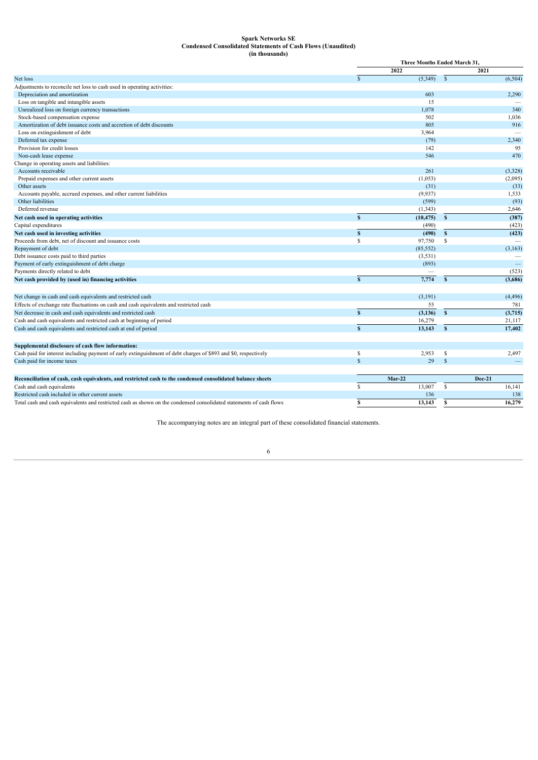#### **Spark Networks SE Condensed Consolidated Statements of Cash Flows (Unaudited) (in thousands)**

|                                                                                                                     | <b>Three Months Ended March 31.</b> |           |              |                          |  |
|---------------------------------------------------------------------------------------------------------------------|-------------------------------------|-----------|--------------|--------------------------|--|
|                                                                                                                     |                                     | 2022      |              | 2021                     |  |
| Net loss                                                                                                            | $\mathsf{\$}$                       | (5,349)   | $\mathbf S$  | (6, 504)                 |  |
| Adjustments to reconcile net loss to cash used in operating activities:                                             |                                     |           |              |                          |  |
| Depreciation and amortization                                                                                       |                                     | 603       |              | 2,290                    |  |
| Loss on tangible and intangible assets                                                                              |                                     | 15        |              |                          |  |
| Unrealized loss on foreign currency transactions                                                                    |                                     | 1,078     |              | 340                      |  |
| Stock-based compensation expense                                                                                    |                                     | 502       |              | 1,036                    |  |
| Amortization of debt issuance costs and accretion of debt discounts                                                 |                                     | 805       |              | 916                      |  |
| Loss on extinguishment of debt                                                                                      |                                     | 3,964     |              |                          |  |
| Deferred tax expense                                                                                                |                                     | (79)      |              | 2,340                    |  |
| Provision for credit losses                                                                                         |                                     | 142       |              | 95                       |  |
| Non-cash lease expense                                                                                              |                                     | 546       |              | 470                      |  |
| Change in operating assets and liabilities:                                                                         |                                     |           |              |                          |  |
| Accounts receivable                                                                                                 |                                     | 261       |              | (3,328)                  |  |
| Prepaid expenses and other current assets                                                                           |                                     | (1,053)   |              | (2,095)                  |  |
| Other assets                                                                                                        |                                     | (31)      |              | (33)                     |  |
| Accounts payable, accrued expenses, and other current liabilities                                                   |                                     | (9,937)   |              | 1,533                    |  |
| Other liabilities                                                                                                   |                                     | (599)     |              | (93)                     |  |
| Deferred revenue                                                                                                    |                                     | (1, 343)  |              | 2,646                    |  |
| Net cash used in operating activities                                                                               | $\mathbf{s}$                        | (10, 475) | $\mathbf{s}$ | (387)                    |  |
| Capital expenditures                                                                                                |                                     | (490)     |              | (423)                    |  |
| Net cash used in investing activities                                                                               | $\mathbf{s}$                        | (490)     | $\mathbf{s}$ | (423)                    |  |
| Proceeds from debt, net of discount and issuance costs                                                              | \$                                  | 97,750    | S            | $\frac{1}{2}$            |  |
| Repayment of debt                                                                                                   |                                     | (85, 552) |              | (3, 163)                 |  |
| Debt issuance costs paid to third parties                                                                           |                                     | (3,531)   |              | $\overline{\phantom{0}}$ |  |
| Payment of early extinguishment of debt charge                                                                      |                                     | (893)     |              | $\qquad \qquad -$        |  |
| Payments directly related to debt                                                                                   |                                     |           |              | (523)                    |  |
| Net cash provided by (used in) financing activities                                                                 | $\mathbf{s}$                        | 7,774     | $\mathbf{s}$ | (3,686)                  |  |
| Net change in cash and cash equivalents and restricted cash                                                         |                                     | (3,191)   |              | (4, 496)                 |  |
| Effects of exchange rate fluctuations on cash and cash equivalents and restricted cash                              |                                     | 55        |              | 781                      |  |
| Net decrease in cash and cash equivalents and restricted cash                                                       | $\mathbf{s}$                        | (3, 136)  | $\mathbf{s}$ | (3,715)                  |  |
| Cash and cash equivalents and restricted cash at beginning of period                                                |                                     | 16,279    |              | 21,117                   |  |
| Cash and cash equivalents and restricted cash at end of period                                                      | $\mathbf{s}$                        | 13,143    | $\mathbf{s}$ | 17,402                   |  |
| Supplemental disclosure of cash flow information:                                                                   |                                     |           |              |                          |  |
| Cash paid for interest including payment of early extinguishment of debt charges of \$893 and \$0, respectively     | \$                                  | 2,953     | \$           | 2,497                    |  |
| Cash paid for income taxes                                                                                          | $\mathbf S$                         | 29        | <sup>S</sup> | $\equiv$                 |  |
| Reconciliation of cash, cash equivalents, and restricted cash to the condensed consolidated balance sheets          |                                     | $Mar-22$  |              | <b>Dec-21</b>            |  |
| Cash and cash equivalents                                                                                           | S.                                  | 13,007    | \$           | 16,141                   |  |
| Restricted cash included in other current assets                                                                    |                                     | 136       |              | 138                      |  |
| Total cash and cash equivalents and restricted cash as shown on the condensed consolidated statements of cash flows | s                                   | 13,143    | s            | 16,279                   |  |
|                                                                                                                     |                                     |           |              |                          |  |

<span id="page-5-0"></span>The accompanying notes are an integral part of these consolidated financial statements.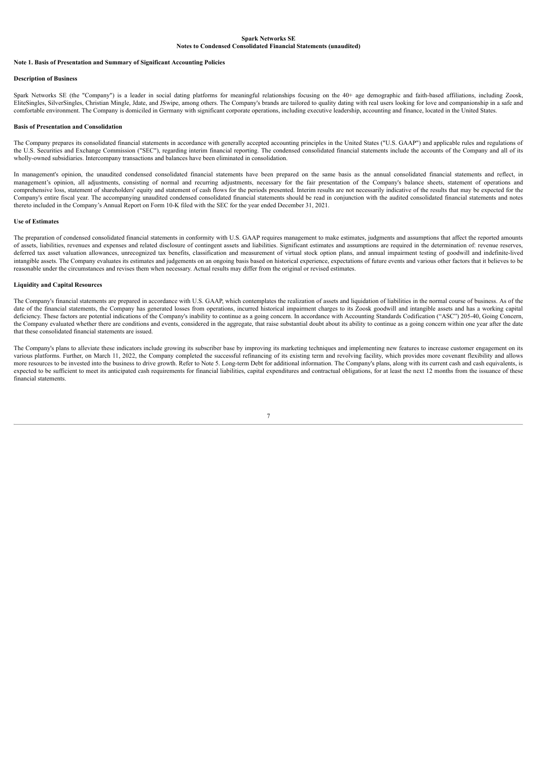#### **Spark Networks SE Notes to Condensed Consolidated Financial Statements (unaudited)**

### <span id="page-6-0"></span>**Note 1. Basis of Presentation and Summary of Significant Accounting Policies**

#### **Description of Business**

Spark Networks SE (the "Company") is a leader in social dating platforms for meaningful relationships focusing on the 40+ age demographic and faith-based affiliations, including Zoosk, EliteSingles, SilverSingles, Christian Mingle, Jdate, and JSwipe, among others. The Company's brands are tailored to quality dating with real users looking for love and companionship in a safe and comfortable environment. The Company is domiciled in Germany with significant corporate operations, including executive leadership, accounting and finance, located in the United States.

### **Basis of Presentation and Consolidation**

The Company prepares its consolidated financial statements in accordance with generally accepted accounting principles in the United States ("U.S. GAAP") and applicable rules and regulations of the U.S. Securities and Exchange Commission ("SEC"), regarding interim financial reporting. The condensed consolidated financial statements include the accounts of the Company and all of its wholly-owned subsidiaries. Intercompany transactions and balances have been eliminated in consolidation.

In management's opinion, the unaudited condensed consolidated financial statements have been prepared on the same basis as the annual consolidated financial statements and reflect, in management's opinion, all adjustments, consisting of normal and recurring adjustments, necessary for the fair presentation of the Company's balance sheets, statement of operations and comprehensive loss, statement of shareholders' equity and statement of cash flows for the periods presented. Interim results are not necessarily indicative of the results that may be expected for the Company's entire fiscal year. The accompanying unaudited condensed consolidated financial statements should be read in conjunction with the audited consolidated financial statements and notes thereto included in the Company's Annual Report on Form 10-K filed with the SEC for the year ended December 31, 2021.

#### **Use of Estimates**

The preparation of condensed consolidated financial statements in conformity with U.S. GAAP requires management to make estimates, judgments and assumptions that affect the reported amounts of assets, liabilities, revenues and expenses and related disclosure of contingent assets and liabilities. Significant estimates and assumptions are required in the determination of: revenue reserves, deferred tax asset valuation allowances, unrecognized tax benefits, classification and measurement of virtual stock option plans, and annual impairment testing of goodwill and indefinite-lived intangible assets. The Company evaluates its estimates and judgements on an ongoing basis based on historical experience, expectations of future events and various other factors that it believes to be reasonable under the circumstances and revises them when necessary. Actual results may differ from the original or revised estimates.

#### **Liquidity and Capital Resources**

The Company's financial statements are prepared in accordance with U.S. GAAP, which contemplates the realization of assets and liquidation of liabilities in the normal course of business. As of the date of the financial statements, the Company has generated losses from operations, incurred historical impairment charges to its Zoosk goodwill and intangible assets and has a working capital deficiency. These factors are potential indications of the Company's inability to continue as a going concern. In accordance with Accounting Standards Codification ("ASC") 205-40, Going Concern, the Company evaluated whether there are conditions and events, considered in the aggregate, that raise substantial doubt about its ability to continue as a going concern within one year after the date that these consolidated financial statements are issued.

The Company's plans to alleviate these indicators include growing its subscriber base by improving its marketing techniques and implementing new features to increase customer engagement on its various platforms. Further, on March 11, 2022, the Company completed the successful refinancing of its existing term and revolving facility, which provides more covenant flexibility and allows more resources to be invested into the business to drive growth. Refer to Note 5. Long-term Debt for additional information. The Company's plans, along with its current cash and cash equivalents, is expected to be sufficient to meet its anticipated cash requirements for financial liabilities, capital expenditures and contractual obligations, for at least the next 12 months from the issuance of these financial statements.

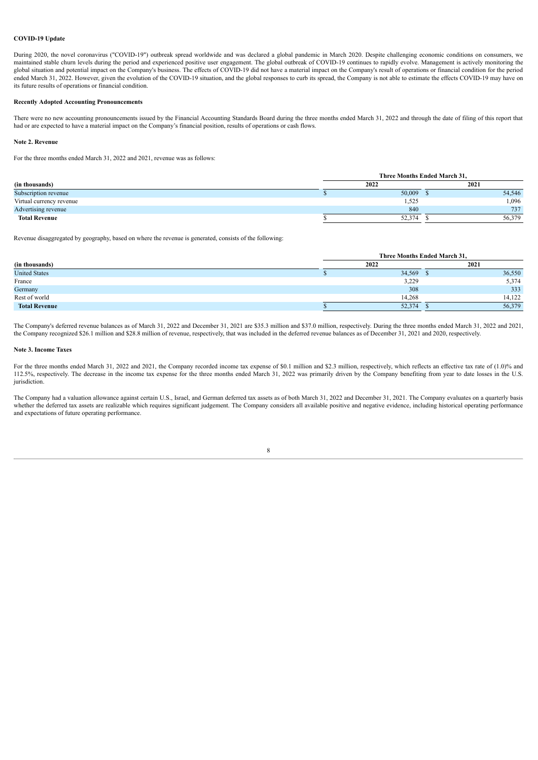## **COVID-19 Update**

During 2020, the novel coronavirus ("COVID-19") outbreak spread worldwide and was declared a global pandemic in March 2020. Despite challenging economic conditions on consumers, we maintained stable churn levels during the period and experienced positive user engagement. The global outbreak of COVID-19 continues to rapidly evolve. Management is actively monitoring the global situation and potential impact on the Company's business. The effects of COVID-19 did not have a material impact on the Company's result of operations or financial condition for the period ended March 31, 2022. However, given the evolution of the COVID-19 situation, and the global responses to curb its spread, the Company is not able to estimate the effects COVID-19 may have on its future results of operations or financial condition.

#### **Recently Adopted Accounting Pronouncements**

There were no new accounting pronouncements issued by the Financial Accounting Standards Board during the three months ended March 31, 2022 and through the date of filing of this report that had or are expected to have a material impact on the Company's financial position, results of operations or cash flows.

## <span id="page-7-0"></span>**Note 2. Revenue**

For the three months ended March 31, 2022 and 2021, revenue was as follows:

|                          |  | Three Months Ended March 31, |  |        |
|--------------------------|--|------------------------------|--|--------|
| (in thousands)           |  | 2022                         |  | 2021   |
| Subscription revenue     |  | 50,009                       |  | 54,546 |
| Virtual currency revenue |  | 1,525                        |  | .096   |
| Advertising revenue      |  | 840                          |  | 737    |
| <b>Total Revenue</b>     |  | 52,374                       |  | 56,379 |

Revenue disaggregated by geography, based on where the revenue is generated, consists of the following:

|                      |  | Three Months Ended March 31, |        |  |  |  |  |  |  |
|----------------------|--|------------------------------|--------|--|--|--|--|--|--|
| (in thousands)       |  | 2022                         | 2021   |  |  |  |  |  |  |
| <b>United States</b> |  | 34,569                       | 36,550 |  |  |  |  |  |  |
| France               |  | 3,229                        | 5,374  |  |  |  |  |  |  |
| Germany              |  | 308                          | 333    |  |  |  |  |  |  |
| Rest of world        |  | 14,268                       | 14,122 |  |  |  |  |  |  |
| <b>Total Revenue</b> |  | 52,374                       | 56,379 |  |  |  |  |  |  |

The Company's deferred revenue balances as of March 31, 2022 and December 31, 2021 are \$35.3 million and \$37.0 million, respectively. During the three months ended March 31, 2022 and 2021, the Company recognized \$26.1 million and \$28.8 million of revenue, respectively, that was included in the deferred revenue balances as of December 31, 2021 and 2020, respectively.

## <span id="page-7-1"></span>**Note 3. Income Taxes**

For the three months ended March 31, 2022 and 2021, the Company recorded income tax expense of \$0.1 million and \$2.3 million, respectively, which reflects an effective tax rate of (1.0)% and 112.5%, respectively. The decrease in the income tax expense for the three months ended March 31, 2022 was primarily driven by the Company benefiting from year to date losses in the U.S. jurisdiction.

The Company had a valuation allowance against certain U.S., Israel, and German deferred tax assets as of both March 31, 2022 and December 31, 2021. The Company evaluates on a quarterly basis whether the deferred tax assets are realizable which requires significant judgement. The Company considers all available positive and negative evidence, including historical operating performance and expectations of future operating performance.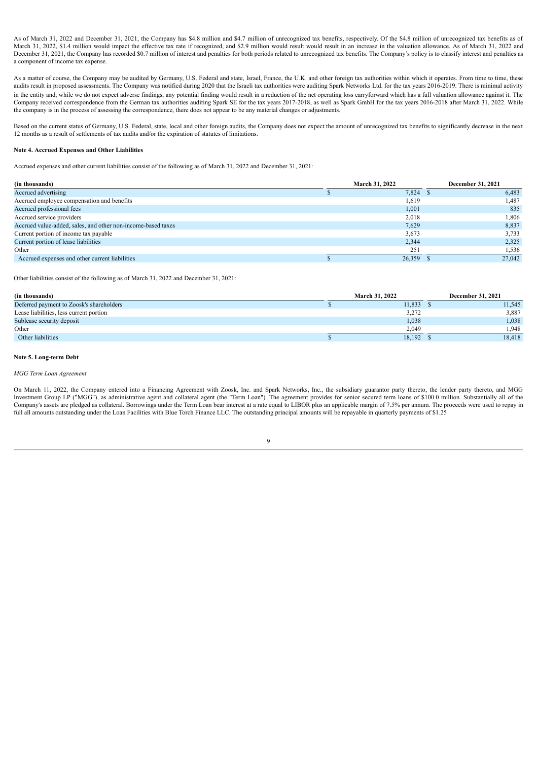As of March 31, 2022 and December 31, 2021, the Company has \$4.8 million and \$4.7 million of unrecognized tax benefits, respectively. Of the \$4.8 million of unrecognized tax benefits as of March 31, 2022, \$1.4 million would impact the effective tax rate if recognized, and \$2.9 million would result would result in an increase in the valuation allowance. As of March 31, 2022 and December 31, 2021, the Company has recorded \$0.7 million of interest and penalties for both periods related to unrecognized tax benefits. The Company's policy is to classify interest and penalties as a component of income tax expense.

As a matter of course, the Company may be audited by Germany, U.S. Federal and state, Israel, France, the U.K. and other foreign tax authorities within which it operates. From time to time, these audits result in proposed assessments. The Company was notified during 2020 that the Israeli tax authorities were auditing Spark Networks Ltd. for the tax years 2016-2019. There is minimal activity in the entity and, while we do not expect adverse findings, any potential finding would result in a reduction of the net operating loss carryforward which has a full valuation allowance against it. The Company received correspondence from the German tax authorities auditing Spark SE for the tax years 2017-2018, as well as Spark GmbH for the tax years 2016-2018 after March 31, 2022. While the company is in the process of assessing the correspondence, there does not appear to be any material changes or adjustments.

Based on the current status of Germany, U.S. Federal, state, local and other foreign audits, the Company does not expect the amount of unrecognized tax benefits to significantly decrease in the next 12 months as a result of settlements of tax audits and/or the expiration of statutes of limitations.

## <span id="page-8-0"></span>**Note 4. Accrued Expenses and Other Liabilities**

Accrued expenses and other current liabilities consist of the following as of March 31, 2022 and December 31, 2021:

| (in thousands)                                               | <b>March 31, 2022</b> |        | <b>December 31, 2021</b> |
|--------------------------------------------------------------|-----------------------|--------|--------------------------|
| Accrued advertising                                          |                       | 7,824  | 6,483                    |
| Accrued employee compensation and benefits                   |                       | 1,619  | 1,487                    |
| Accrued professional fees                                    |                       | 1,001  | 835                      |
| Accrued service providers                                    |                       | 2,018  | .806                     |
| Accrued value-added, sales, and other non-income-based taxes |                       | 7,629  | 8,837                    |
| Current portion of income tax payable                        |                       | 3,673  | 3,733                    |
| Current portion of lease liabilities                         |                       | 2,344  | 2,325                    |
| Other                                                        |                       | 251    | 1,536                    |
| Accrued expenses and other current liabilities               |                       | 26.359 | 27.042                   |

Other liabilities consist of the following as of March 31, 2022 and December 31, 2021:

| (in thousands)                           | <b>March 31, 2022</b> | <b>December 31, 2021</b> |        |
|------------------------------------------|-----------------------|--------------------------|--------|
| Deferred payment to Zoosk's shareholders |                       | 11,833                   | 11,545 |
| Lease liabilities, less current portion  |                       | 3,272                    | 3,887  |
| Sublease security deposit                |                       | 1,038                    | 1,038  |
| Other                                    |                       | 2.049                    | 1,948  |
| Other liabilities                        |                       | 18,192                   | 18,418 |

### <span id="page-8-1"></span>**Note 5. Long-term Debt**

*MGG Term Loan Agreement*

On March 11, 2022, the Company entered into a Financing Agreement with Zoosk, Inc. and Spark Networks, Inc., the subsidiary guarantor party thereto, the lender party thereto, and MGG Investment Group LP ("MGG"), as administrative agent and collateral agent (the "Term Loan"). The agreement provides for senior secured term loans of \$100.0 million. Substantially all of the Company's assets are pledged as collateral. Borrowings under the Term Loan bear interest at a rate equal to LIBOR plus an applicable margin of 7.5% per annum. The proceeds were used to repay in full all amounts outstanding under the Loan Facilities with Blue Torch Finance LLC. The outstanding principal amounts will be repayable in quarterly payments of \$1.25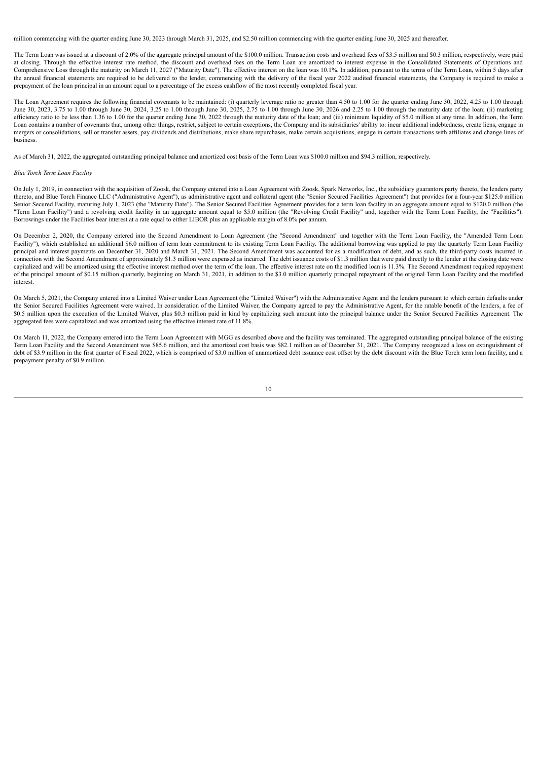million commencing with the quarter ending June 30, 2023 through March 31, 2025, and \$2.50 million commencing with the quarter ending June 30, 2025 and thereafter.

The Term Loan was issued at a discount of 2.0% of the aggregate principal amount of the \$100.0 million. Transaction costs and overhead fees of \$3.5 million and \$0.3 million, respectively, were paid at closing. Through the effective interest rate method, the discount and overhead fees on the Term Loan are amortized to interest expense in the Consolidated Statements of Operations and Comprehensive Loss through the maturity on March 11, 2027 ("Maturity Date"). The effective interest on the loan was 10.1%. In addition, pursuant to the terms of the Term Loan, within 5 days after the annual financial statements are required to be delivered to the lender, commencing with the delivery of the fiscal year 2022 audited financial statements, the Company is required to make a prepayment of the loan principal in an amount equal to a percentage of the excess cashflow of the most recently completed fiscal year.

The Loan Agreement requires the following financial covenants to be maintained: (i) quarterly leverage ratio no greater than 4.50 to 1.00 for the quarter ending June 30, 2022, 4.25 to 1.00 through June 30, 2023, 3.75 to 1.00 through June 30, 2024, 3.25 to 1.00 through June 30, 2025, 2.75 to 1.00 through June 30, 2026 and 2.25 to 1.00 through the maturity date of the loan; (ii) marketing efficiency ratio to be less than  $1.36$  to  $1.00$  for the quarter ending June 30, 2022 through the maturity date of the loan; and (iii) minimum liquidity of \$5.0 million at any time. In addition, the Term Loan contains a number of covenants that, among other things, restrict, subject to certain exceptions, the Company and its subsidiaries' ability to: incur additional indebtedness, create liens, engage in mergers or consolidations, sell or transfer assets, pay dividends and distributions, make share repurchases, make certain acquisitions, engage in certain transactions with affiliates and change lines of business.

As of March 31, 2022, the aggregated outstanding principal balance and amortized cost basis of the Term Loan was \$100.0 million and \$94.3 million, respectively.

## *Blue Torch Term Loan Facility*

On July 1, 2019, in connection with the acquisition of Zoosk, the Company entered into a Loan Agreement with Zoosk, Spark Networks, Inc., the subsidiary guarantors party thereto, the lenders party thereto, and Blue Torch Finance LLC ("Administrative Agent"), as administrative agent and collateral agent (the "Senior Secured Facilities Agreement") that provides for a four-year \$125.0 million Senior Secured Facility, maturing July 1, 2023 (the "Maturity Date"). The Senior Secured Facilities Agreement provides for a term loan facility in an aggregate amount equal to \$120.0 million (the "Term Loan Facility") and a revolving credit facility in an aggregate amount equal to \$5.0 million (the "Revolving Credit Facility" and, together with the Term Loan Facility, the "Facilities"). Borrowings under the Facilities bear interest at a rate equal to either LIBOR plus an applicable margin of 8.0% per annum.

On December 2, 2020, the Company entered into the Second Amendment to Loan Agreement (the "Second Amendment" and together with the Term Loan Facility, the "Amended Term Loan Facility"), which established an additional \$6.0 million of term loan commitment to its existing Term Loan Facility. The additional borrowing was applied to pay the quarterly Term Loan Facility principal and interest payments on December 31, 2020 and March 31, 2021. The Second Amendment was accounted for as a modification of debt, and as such, the third-party costs incurred in connection with the Second Amendment of approximately \$1.3 million were expensed as incurred. The debt issuance costs of \$1.3 million that were paid directly to the lender at the closing date were capitalized and will be amortized using the effective interest method over the term of the loan. The effective interest rate on the modified loan is 11.3%. The Second Amendment required repayment of the principal amount of \$0.15 million quarterly, beginning on March 31, 2021, in addition to the \$3.0 million quarterly principal repayment of the original Term Loan Facility and the modified interest.

On March 5, 2021, the Company entered into a Limited Waiver under Loan Agreement (the "Limited Waiver") with the Administrative Agent and the lenders pursuant to which certain defaults under the Senior Secured Facilities Agreement were waived. In consideration of the Limited Waiver, the Company agreed to pay the Administrative Agent, for the ratable benefit of the lenders, a fee of \$0.5 million upon the execution of the Limited Waiver, plus \$0.3 million paid in kind by capitalizing such amount into the principal balance under the Senior Secured Facilities Agreement. The aggregated fees were capitalized and was amortized using the effective interest rate of 11.8%.

On March 11, 2022, the Company entered into the Term Loan Agreement with MGG as described above and the facility was terminated. The aggregated outstanding principal balance of the existing Term Loan Facility and the Second Amendment was \$85.6 million, and the amortized cost basis was \$82.1 million as of December 31, 2021. The Company recognized a loss on extinguishment of debt of \$3.9 million in the first quarter of Fiscal 2022, which is comprised of \$3.0 million of unamortized debt issuance cost offset by the debt discount with the Blue Torch term loan facility, and a prepayment penalty of \$0.9 million.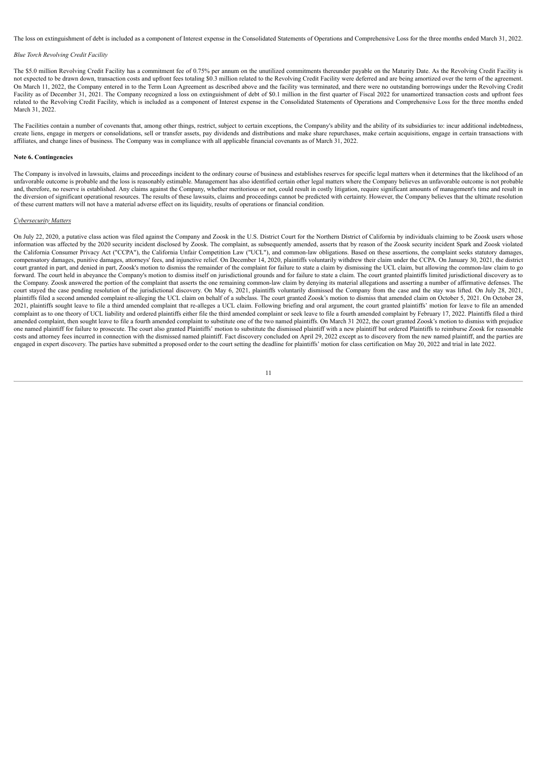The loss on extinguishment of debt is included as a component of Interest expense in the Consolidated Statements of Operations and Comprehensive Loss for the three months ended March 31, 2022.

#### *Blue Torch Revolving Credit Facility*

The \$5.0 million Revolving Credit Facility has a commitment fee of 0.75% per annum on the unutilized commitments thereunder payable on the Maturity Date. As the Revolving Credit Facility is not expected to be drawn down, transaction costs and upfront fees totaling \$0.3 million related to the Revolving Credit Facility were deferred and are being amortized over the term of the agreement. On March 11, 2022, the Company entered in to the Term Loan Agreement as described above and the facility was terminated, and there were no outstanding borrowings under the Revolving Credit Facility as of December 31, 2021. The Company recognized a loss on extinguishment of debt of \$0.1 million in the first quarter of Fiscal 2022 for unamortized transaction costs and upfront fees related to the Revolving Credit Facility, which is included as a component of Interest expense in the Consolidated Statements of Operations and Comprehensive Loss for the three months ended March 31, 2022.

The Facilities contain a number of covenants that, among other things, restrict, subject to certain exceptions, the Company's ability and the ability of its subsidiaries to: incur additional indebtedness, create liens, engage in mergers or consolidations, sell or transfer assets, pay dividends and distributions and make share repurchases, make certain acquisitions, engage in certain transactions with affiliates, and change lines of business. The Company was in compliance with all applicable financial covenants as of March 31, 2022.

#### <span id="page-10-0"></span>**Note 6. Contingencies**

The Company is involved in lawsuits, claims and proceedings incident to the ordinary course of business and establishes reserves for specific legal matters when it determines that the likelihood of an unfavorable outcome is probable and the loss is reasonably estimable. Management has also identified certain other legal matters where the Company believes an unfavorable outcome is not probable and, therefore, no reserve is established. Any claims against the Company, whether meritorious or not, could result in costly litigation, require significant amounts of management's time and result in the diversion of significant operational resources. The results of these lawsuits, claims and proceedings cannot be predicted with certainty. However, the Company believes that the ultimate resolution of these current matters will not have a material adverse effect on its liquidity, results of operations or financial condition.

#### *Cybersecurity Matters*

On July 22, 2020, a putative class action was filed against the Company and Zoosk in the U.S. District Court for the Northern District of California by individuals claiming to be Zoosk users whose information was affected by the 2020 security incident disclosed by Zoosk. The complaint, as subsequently amended, asserts that by reason of the Zoosk security incident Spark and Zoosk violated the California Consumer Privacy Act ("CCPA"), the California Unfair Competition Law ("UCL"), and common-law obligations. Based on these assertions, the complaint seeks statutory damages, compensatory damages, punitive damages, attorneys' fees, and injunctive relief. On December 14, 2020, plaintiffs voluntarily withdrew their claim under the CCPA. On January 30, 2021, the district court granted in part, and denied in part, Zoosk's motion to dismiss the remainder of the complaint for failure to state a claim by dismissing the UCL claim, but allowing the common-law claim to go forward. The court held in abeyance the Company's motion to dismiss itself on jurisdictional grounds and for failure to state a claim. The court granted plaintiffs limited jurisdictional discovery as to the Company. Zoosk answered the portion of the complaint that asserts the one remaining common-law claim by denying its material allegations and asserting a number of affirmative defenses. The court stayed the case pending resolution of the jurisdictional discovery. On May 6, 2021, plaintiffs voluntarily dismissed the Company from the case and the stay was lifted. On July 28, 2021, plaintiffs filed a second amended complaint re-alleging the UCL claim on behalf of a subclass. The court granted Zoosk's motion to dismiss that amended claim on October 5, 2021. On October 28, 2021, plaintiffs sought leave to file a third amended complaint that re-alleges a UCL claim. Following briefing and oral argument, the court granted plaintiffs' motion for leave to file an amended complaint as to one theory of UCL liability and ordered plaintiffs either file the third amended complaint or seek leave to file a fourth amended complaint by February 17, 2022. Plaintiffs filed a third amended complaint, then sought leave to file a fourth amended complaint to substitute one of the two named plaintiffs. On March 31 2022, the court granted Zoosk's motion to dismiss with prejudice one named plaintiff for failure to prosecute. The court also granted Plaintiffs' motion to substitute the dismissed plaintiff with a new plaintiff but ordered Plaintiffs to reimburse Zoosk for reasonable costs and attorney fees incurred in connection with the dismissed named plaintiff. Fact discovery concluded on April 29, 2022 except as to discovery from the new named plaintiff, and the parties are engaged in expert discovery. The parties have submitted a proposed order to the court setting the deadline for plaintiffs' motion for class certification on May 20, 2022 and trial in late 2022.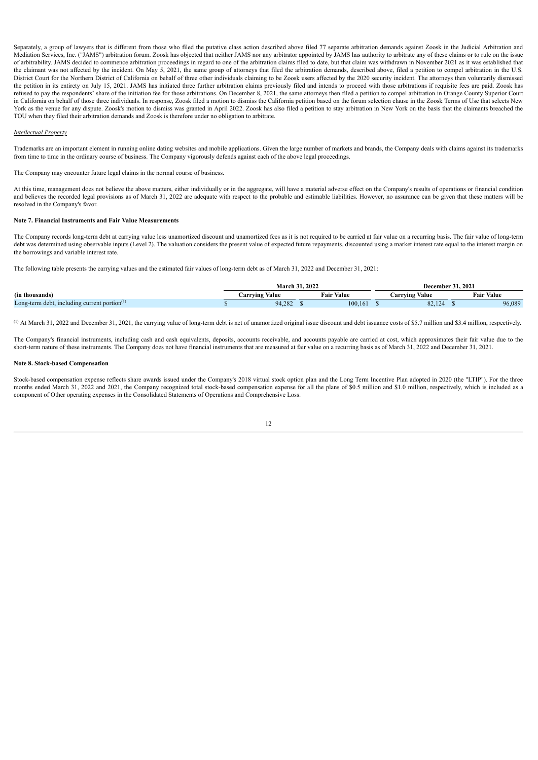Separately, a group of lawyers that is different from those who filed the putative class action described above filed 77 separate arbitration demands against Zoosk in the Judicial Arbitration and Mediation Services, Inc. ("JAMS") arbitration forum. Zoosk has objected that neither JAMS nor any arbitrator appointed by JAMS has authority to arbitrate any of these claims or to rule on the issue of arbitrability. JAMS decided to commence arbitration proceedings in regard to one of the arbitration claims filed to date, but that claim was withdrawn in November 2021 as it was established that the claimant was not affected by the incident. On May 5, 2021, the same group of attorneys that filed the arbitration demands, described above, filed a petition to compel arbitration in the U.S. District Court for the Northern District of California on behalf of three other individuals claiming to be Zoosk users affected by the 2020 security incident. The attorneys then voluntarily dismissed the petition in its entirety on July 15, 2021. JAMS has initiated three further arbitration claims previously filed and intends to proceed with those arbitrations if requisite fees are paid. Zoosk has refused to pay the respondents' share of the initiation fee for those arbitrations. On December 8, 2021, the same attorneys then filed a petition to compel arbitration in Orange County Superior Court in California on behalf of those three individuals. In response, Zoosk filed a motion to dismiss the California petition based on the forum selection clause in the Zoosk Terms of Use that selects New York as the venue for any dispute. Zoosk's motion to dismiss was granted in April 2022. Zoosk has also filed a petition to stay arbitration in New York on the basis that the claimants breached the TOU when they filed their arbitration demands and Zoosk is therefore under no obligation to arbitrate.

### *Intellectual Property*

Trademarks are an important element in running online dating websites and mobile applications. Given the large number of markets and brands, the Company deals with claims against its trademarks from time to time in the ordinary course of business. The Company vigorously defends against each of the above legal proceedings.

The Company may encounter future legal claims in the normal course of business.

At this time, management does not believe the above matters, either individually or in the aggregate, will have a material adverse effect on the Company's results of operations or financial condition and believes the recorded legal provisions as of March 31, 2022 are adequate with respect to the probable and estimable liabilities. However, no assurance can be given that these matters will be resolved in the Company's favor.

### <span id="page-11-0"></span>**Note 7. Financial Instruments and Fair Value Measurements**

The Company records long-term debt at carrying value less unamortized discount and unamortized fees as it is not required to be carried at fair value on a recurring basis. The fair value of long-term debt was determined using observable inputs (Level 2). The valuation considers the present value of expected future repayments, discounted using a market interest rate equal to the interest margin on the borrowings and variable interest rate.

The following table presents the carrying values and the estimated fair values of long-term debt as of March 31, 2022 and December 31, 2021:

|                                                          | 1. 2022ء<br>March |                  |  | 31.2021<br>ember: |                  |  |                   |  |
|----------------------------------------------------------|-------------------|------------------|--|-------------------|------------------|--|-------------------|--|
| (in thousands)                                           |                   | arrving<br>Value |  | Fair Value        | Aarrvin<br>Value |  | <b>Fair Value</b> |  |
| Long-term debt, including current portion <sup>(1)</sup> |                   | 94.282           |  | 100.161           | 04.14            |  | 96,089            |  |

 $^{(1)}$  At March 31, 2022 and December 31, 2021, the carrying value of long-term debt is net of unamortized original issue discount and debt issuance costs of \$5.7 million and \$3.4 million, respectively.

The Company's financial instruments, including cash and cash equivalents, deposits, accounts receivable, and accounts payable are carried at cost, which approximates their fair value due to the short-term nature of these instruments. The Company does not have financial instruments that are measured at fair value on a recurring basis as of March 31, 2022 and December 31, 2021.

#### <span id="page-11-1"></span>**Note 8. Stock-based Compensation**

Stock-based compensation expense reflects share awards issued under the Company's 2018 virtual stock option plan and the Long Term Incentive Plan adopted in 2020 (the "LTIP"). For the three months ended March 31, 2022 and 2021, the Company recognized total stock-based compensation expense for all the plans of \$0.5 million and \$1.0 million, respectively, which is included as a component of Other operating expenses in the Consolidated Statements of Operations and Comprehensive Loss.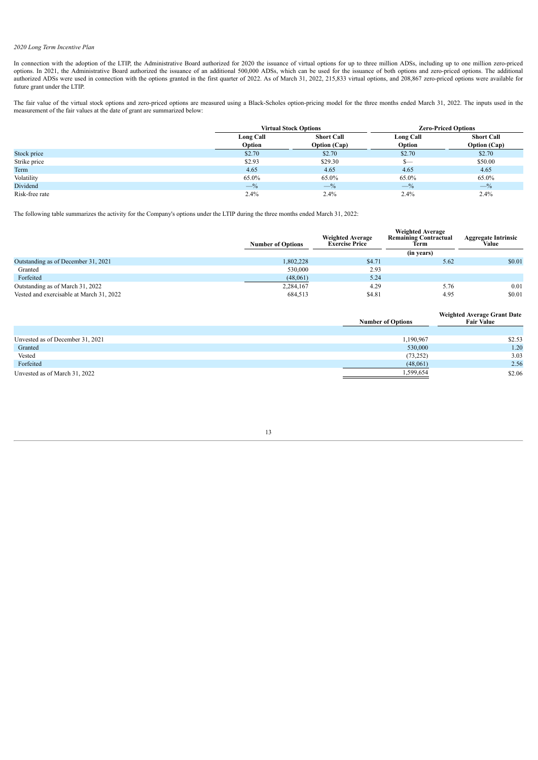## *2020 Long Term Incentive Plan*

In connection with the adoption of the LTIP, the Administrative Board authorized for 2020 the issuance of virtual options for up to three million ADSs, including up to one million zero-priced options. In 2021, the Administrative Board authorized the issuance of an additional 500,000 ADSs, which can be used for the issuance of both options and zero-priced options. The additional authorized ADSs were used in connection with the options granted in the first quarter of 2022. As of March 31, 2022, 215,833 virtual options, and 208,867 zero-priced options were available for future grant under the LTIP.

The fair value of the virtual stock options and zero-priced options are measured using a Black-Scholes option-pricing model for the three months ended March 31, 2022. The inputs used in the measurement of the fair values at the date of grant are summarized below:

|                |                  | <b>Virtual Stock Options</b> |           | <b>Zero-Priced Options</b> |  |
|----------------|------------------|------------------------------|-----------|----------------------------|--|
|                | <b>Long Call</b> | <b>Short Call</b>            | Long Call | <b>Short Call</b>          |  |
|                | Option           | <b>Option (Cap)</b>          | Option    | <b>Option</b> (Cap)        |  |
| Stock price    | \$2.70           | \$2.70                       | \$2.70    | \$2.70                     |  |
| Strike price   | \$2.93           | \$29.30                      | $_{-}$    | \$50.00                    |  |
| Term           | 4.65             | 4.65                         | 4.65      | 4.65                       |  |
| Volatility     | 65.0%            | 65.0%                        | 65.0%     | 65.0%                      |  |
| Dividend       | $-$ %            | $-$ %                        | $-$ %     | $-$ %                      |  |
| Risk-free rate | 2.4%             | 2.4%                         | 2.4%      | 2.4%                       |  |

The following table summarizes the activity for the Company's options under the LTIP during the three months ended March 31, 2022:

|                                          | <b>Number of Options</b> | <b>Weighted Average</b><br><b>Exercise Price</b> | <b>Weighted Average</b><br><b>Remaining Contractual</b><br>Term | <b>Aggregate Intrinsic</b><br>Value |
|------------------------------------------|--------------------------|--------------------------------------------------|-----------------------------------------------------------------|-------------------------------------|
|                                          |                          |                                                  | (in years)                                                      |                                     |
| Outstanding as of December 31, 2021      | 1,802,228                | \$4.71                                           | 5.62                                                            | \$0.01                              |
| Granted                                  | 530,000                  | 2.93                                             |                                                                 |                                     |
| Forfeited                                | (48,061)                 | 5.24                                             |                                                                 |                                     |
| Outstanding as of March 31, 2022         | 2,284,167                | 4.29                                             | 5.76                                                            | 0.01                                |
| Vested and exercisable at March 31, 2022 | 684.513                  | \$4.81                                           | 4.95                                                            | \$0.01                              |

|                                  | <b>Number of Options</b> | <b>Weighted Average Grant Date</b><br><b>Fair Value</b> |
|----------------------------------|--------------------------|---------------------------------------------------------|
| Unvested as of December 31, 2021 | 1,190,967                | \$2.53                                                  |
| Granted                          | 530,000                  | 1.20                                                    |
| Vested                           | (73, 252)                | 3.03                                                    |
| Forfeited                        | (48,061)                 | 2.56                                                    |
| Unvested as of March 31, 2022    | 1,599,654                | \$2.06                                                  |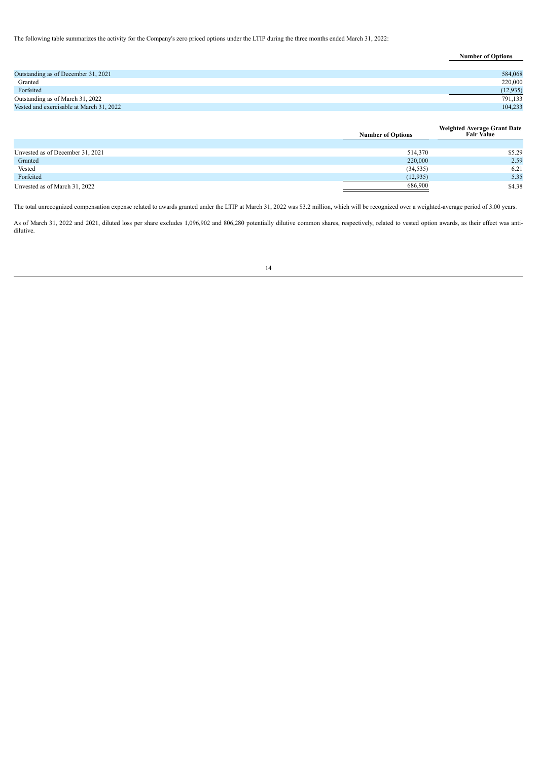The following table summarizes the activity for the Company's zero priced options under the LTIP during the three months ended March 31, 2022:

## **Number of Options**

| Outstanding as of December 31, 2021      | 584,068   |
|------------------------------------------|-----------|
| Granted                                  | 220,000   |
| Forfeited                                | (12, 935) |
| Outstanding as of March 31, 2022         | 791.133   |
| Vested and exercisable at March 31, 2022 | 104.233   |

|                                  | <b>Number of Options</b> | <b>Weighted Average Grant Date</b><br><b>Fair Value</b> |
|----------------------------------|--------------------------|---------------------------------------------------------|
|                                  |                          |                                                         |
| Unvested as of December 31, 2021 | 514,370                  | \$5.29                                                  |
| Granted                          | 220,000                  | 2.59                                                    |
| Vested                           | (34, 535)                | 6.21                                                    |
| Forfeited                        | (12, 935)                | 5.35                                                    |
| Unvested as of March 31, 2022    | 686,900                  | \$4.38                                                  |

The total unrecognized compensation expense related to awards granted under the LTIP at March 31, 2022 was \$3.2 million, which will be recognized over a weighted-average period of 3.00 years.

<span id="page-13-0"></span>As of March 31, 2022 and 2021, diluted loss per share excludes 1,096,902 and 806,280 potentially dilutive common shares, respectively, related to vested option awards, as their effect was antidilutive.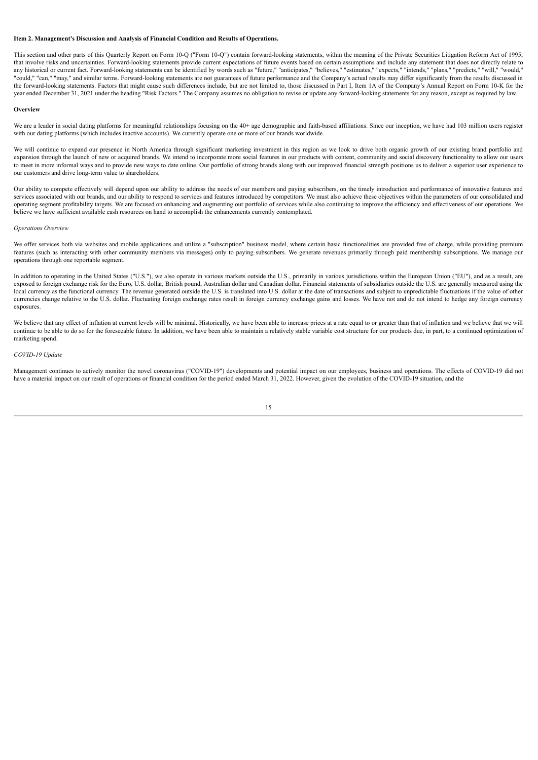## **Item 2. Management's Discussion and Analysis of Financial Condition and Results of Operations.**

This section and other parts of this Quarterly Report on Form 10-Q ("Form 10-Q") contain forward-looking statements, within the meaning of the Private Securities Litigation Reform Act of 1995, that involve risks and uncertainties. Forward-looking statements provide current expectations of future events based on certain assumptions and include any statement that does not directly relate to any historical or current fact. Forward-looking statements can be identified by words such as "future," "anticipates," "believes," "estimates," "expects," "intends," "plans," "predicts," "will," "would," "could," "can," "may," and similar terms. Forward-looking statements are not guarantees of future performance and the Company's actual results may differ significantly from the results discussed in the forward-looking statements. Factors that might cause such differences include, but are not limited to, those discussed in Part I, Item 1A of the Company's Annual Report on Form 10-K for the year ended December 31, 2021 under the heading "Risk Factors." The Company assumes no obligation to revise or update any forward-looking statements for any reason, except as required by law.

#### **Overview**

We are a leader in social dating platforms for meaningful relationships focusing on the 40+ age demographic and faith-based affiliations. Since our inception, we have had 103 million users register with our dating platforms (which includes inactive accounts). We currently operate one or more of our brands worldwide.

We will continue to expand our presence in North America through significant marketing investment in this region as we look to drive both organic growth of our existing brand portfolio and expansion through the launch of new or acquired brands. We intend to incorporate more social features in our products with content, community and social discovery functionality to allow our users to meet in more informal ways and to provide new ways to date online. Our portfolio of strong brands along with our improved financial strength positions us to deliver a superior user experience to our customers and drive long-term value to shareholders.

Our ability to compete effectively will depend upon our ability to address the needs of our members and paying subscribers, on the timely introduction and performance of innovative features and services associated with our brands, and our ability to respond to services and features introduced by competitors. We must also achieve these objectives within the parameters of our consolidated and operating segment profitability targets. We are focused on enhancing and augmenting our portfolio of services while also continuing to improve the efficiency and effectiveness of our operations. We believe we have sufficient available cash resources on hand to accomplish the enhancements currently contemplated.

#### *Operations Overview*

We offer services both via websites and mobile applications and utilize a "subscription" business model, where certain basic functionalities are provided free of charge, while providing premium features (such as interacting with other community members via messages) only to paying subscribers. We generate revenues primarily through paid membership subscriptions. We manage our operations through one reportable segment.

In addition to operating in the United States ("U.S."), we also operate in various markets outside the U.S., primarily in various jurisdictions within the European Union ("EU"), and as a result, are exposed to foreign exchange risk for the Euro, U.S. dollar, British pound, Australian dollar and Canadian dollar. Financial statements of subsidiaries outside the U.S. are generally measured using the local currency as the functional currency. The revenue generated outside the U.S. is translated into U.S. dollar at the date of transactions and subject to unpredictable fluctuations if the value of other currencies change relative to the U.S. dollar. Fluctuating foreign exchange rates result in foreign currency exchange gains and losses. We have not and do not intend to hedge any foreign currency exposures.

We believe that any effect of inflation at current levels will be minimal. Historically, we have been able to increase prices at a rate equal to or greater than that of inflation and we believe that we will continue to be able to do so for the foreseeable future. In addition, we have been able to maintain a relatively stable variable cost structure for our products due, in part, to a continued optimization of marketing spend.

#### *COVID-19 Update*

Management continues to actively monitor the novel coronavirus ("COVID-19") developments and potential impact on our employees, business and operations. The effects of COVID-19 did not have a material impact on our result of operations or financial condition for the period ended March 31, 2022. However, given the evolution of the COVID-19 situation, and the

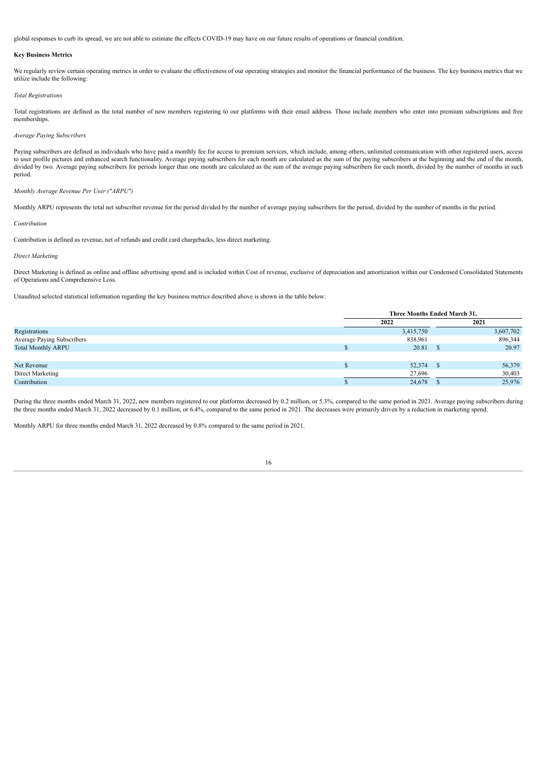global responses to curb its spread, we are not able to estimate the effects COVID-19 may have on our future results of operations or financial condition.

#### **Key Business Metrics**

We regularly review certain operating metrics in order to evaluate the effectiveness of our operating strategies and monitor the financial performance of the business. The key business metrics that we utilize include the following:

#### *Total Registrations*

Total registrations are defined as the total number of new members registering to our platforms with their email address. Those include members who enter into premium subscriptions and free memberships.

## *Average Paying Subscribers*

Paying subscribers are defined as individuals who have paid a monthly fee for access to premium services, which include, among others, unlimited communication with other registered users, access to user profile pictures and enhanced search functionality. Average paying subscribers for each month are calculated as the sum of the paying subscribers at the beginning and the end of the month, divided by two. Average paying subscribers for periods longer than one month are calculated as the sum of the average paying subscribers for each month, divided by the number of months in such period.

## *Monthly Average Revenue Per User ("ARPU")*

Monthly ARPU represents the total net subscriber revenue for the period divided by the number of average paying subscribers for the period, divided by the number of months in the period.

#### *Contribution*

Contribution is defined as revenue, net of refunds and credit card chargebacks, less direct marketing.

#### *Direct Marketing*

Direct Marketing is defined as online and offline advertising spend and is included within Cost of revenue, exclusive of depreciation and amortization within our Condensed Consolidated Statements of Operations and Comprehensive Loss.

Unaudited selected statistical information regarding the key business metrics described above is shown in the table below:

|                            | Three Months Ended March 31. |     |           |
|----------------------------|------------------------------|-----|-----------|
|                            | 2022                         |     | 2021      |
| Registrations              | 3,415,750                    |     | 3,607,702 |
| Average Paying Subscribers | 838,961                      |     | 896,344   |
| <b>Total Monthly ARPU</b>  | 20.81                        | - 5 | 20.97     |
|                            |                              |     |           |
| Net Revenue                | 52,374                       |     | 56,379    |
| Direct Marketing           | 27,696                       |     | 30,403    |
| Contribution               | 24,678                       |     | 25,976    |
|                            |                              |     |           |

During the three months ended March 31, 2022, new members registered to our platforms decreased by 0.2 million, or 5.3%, compared to the same period in 2021. Average paying subscribers during the three months ended March 31, 2022 decreased by 0.1 million, or 6.4%, compared to the same period in 2021. The decreases were primarily driven by a reduction in marketing spend.

Monthly ARPU for three months ended March 31, 2022 decreased by 0.8% compared to the same period in 2021.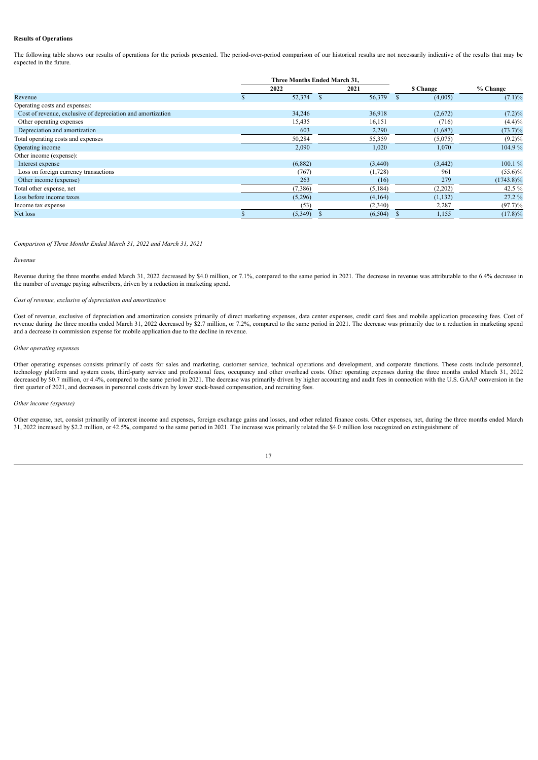## **Results of Operations**

The following table shows our results of operations for the periods presented. The period-over-period comparison of our historical results are not necessarily indicative of the results that may be expected in the future.

|                                                             | <b>Three Months Ended March 31.</b> |          |         |                 |              |
|-------------------------------------------------------------|-------------------------------------|----------|---------|-----------------|--------------|
|                                                             |                                     | 2022     | 2021    | <b>S</b> Change | % Change     |
| Revenue                                                     |                                     | 52,374   | 56,379  | (4,005)         | $(7.1)\%$    |
| Operating costs and expenses:                               |                                     |          |         |                 |              |
| Cost of revenue, exclusive of depreciation and amortization |                                     | 34,246   | 36,918  | (2,672)         | $(7.2)\%$    |
| Other operating expenses                                    |                                     | 15,435   | 16,151  | (716)           | $(4.4)\%$    |
| Depreciation and amortization                               |                                     | 603      | 2,290   | (1,687)         | $(73.7)\%$   |
| Total operating costs and expenses                          |                                     | 50,284   | 55,359  | (5,075)         | $(9.2)\%$    |
| Operating income                                            |                                     | 2,090    | 1,020   | 1,070           | 104.9%       |
| Other income (expense):                                     |                                     |          |         |                 |              |
| Interest expense                                            |                                     | (6,882)  | (3,440) | (3, 442)        | 100.1%       |
| Loss on foreign currency transactions                       |                                     | (767)    | (1,728) | 961             | $(55.6)\%$   |
| Other income (expense)                                      |                                     | 263      | (16)    | 279             | $(1743.8)\%$ |
| Total other expense, net                                    |                                     | (7, 386) | (5,184) | (2,202)         | 42.5 %       |
| Loss before income taxes                                    |                                     | (5,296)  | (4,164) | (1, 132)        | 27.2 %       |
| Income tax expense                                          |                                     | (53)     | (2,340) | 2,287           | $(97.7)\%$   |
| Net loss                                                    |                                     | (5,349)  | (6,504) | 1,155           | $(17.8)\%$   |

### *Comparison of Three Months Ended March 31, 2022 and March 31, 2021*

*Revenue*

Revenue during the three months ended March 31, 2022 decreased by \$4.0 million, or 7.1%, compared to the same period in 2021. The decrease in revenue was attributable to the 6.4% decrease in the number of average paying subscribers, driven by a reduction in marketing spend.

## *Cost of revenue, exclusive of depreciation and amortization*

Cost of revenue, exclusive of depreciation and amortization consists primarily of direct marketing expenses, data center expenses, credit card fees and mobile application processing fees. Cost of revenue during the three months ended March 31, 2022 decreased by \$2.7 million, or 7.2%, compared to the same period in 2021. The decrease was primarily due to a reduction in marketing spend and a decrease in commission expense for mobile application due to the decline in revenue.

#### *Other operating expenses*

Other operating expenses consists primarily of costs for sales and marketing, customer service, technical operations and development, and corporate functions. These costs include personnel, technology platform and system costs, third-party service and professional fees, occupancy and other overhead costs. Other operating expenses during the three months ended March 31, 2022 decreased by \$0.7 million, or 4.4%, compared to the same period in 2021. The decrease was primarily driven by higher accounting and audit fees in connection with the U.S. GAAP conversion in the first quarter of 2021, and decreases in personnel costs driven by lower stock-based compensation, and recruiting fees.

#### *Other income (expense)*

Other expense, net, consist primarily of interest income and expenses, foreign exchange gains and losses, and other related finance costs. Other expenses, net, during the three months ended March 31, 2022 increased by \$2.2 million, or 42.5%, compared to the same period in 2021. The increase was primarily related the \$4.0 million loss recognized on extinguishment of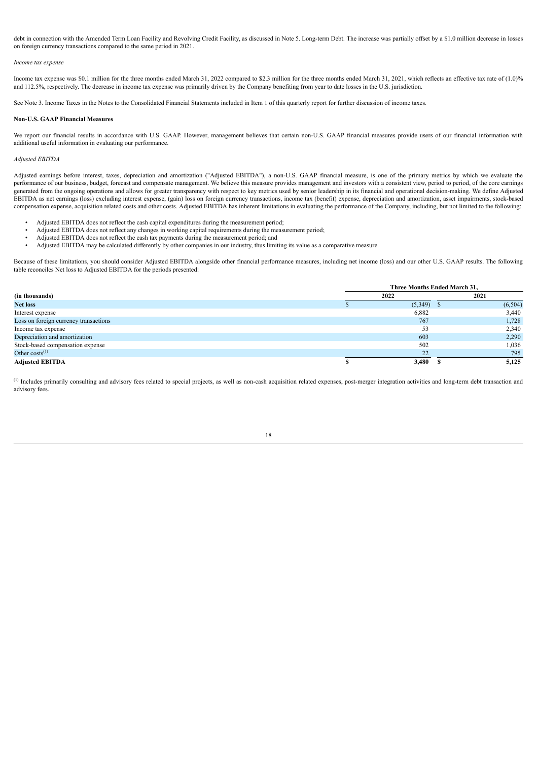debt in connection with the Amended Term Loan Facility and Revolving Credit Facility, as discussed in Note 5. Long-term Debt. The increase was partially offset by a \$1.0 million decrease in losses on foreign currency transactions compared to the same period in 2021.

## *Income tax expense*

Income tax expense was \$0.1 million for the three months ended March 31, 2022 compared to \$2.3 million for the three months ended March 31, 2021, which reflects an effective tax rate of (1.0)% and 112.5%, respectively. The decrease in income tax expense was primarily driven by the Company benefiting from year to date losses in the U.S. jurisdiction.

See Note 3. Income Taxes in the Notes to the Consolidated Financial Statements included in Item 1 of this quarterly report for further discussion of income taxes.

#### **Non-U.S. GAAP Financial Measures**

We report our financial results in accordance with U.S. GAAP. However, management believes that certain non-U.S. GAAP financial measures provide users of our financial information with additional useful information in evaluating our performance.

#### *Adjusted EBITDA*

Adjusted earnings before interest, taxes, depreciation and amortization ("Adjusted EBITDA"), a non-U.S. GAAP financial measure, is one of the primary metrics by which we evaluate the performance of our business, budget, forecast and compensate management. We believe this measure provides management and investors with a consistent view, period to period, of the core earnings generated from the ongoing operations and allows for greater transparency with respect to key metrics used by senior leadership in its financial and operational decision-making. We define Adjusted EBITDA as net earnings (loss) excluding interest expense, (gain) loss on foreign currency transactions, income tax (benefit) expense, depreciation and amortization, asset impairments, stock-based compensation expense, acquisition related costs and other costs. Adjusted EBITDA has inherent limitations in evaluating the performance of the Company, including, but not limited to the following:

- Adjusted EBITDA does not reflect the cash capital expenditures during the measurement period;
- Adjusted EBITDA does not reflect any changes in working capital requirements during the measurement period;
- Adjusted EBITDA does not reflect the cash tax payments during the measurement period; and
- Adjusted EBITDA may be calculated differently by other companies in our industry, thus limiting its value as a comparative measure.

Because of these limitations, you should consider Adjusted EBITDA alongside other financial performance measures, including net income (loss) and our other U.S. GAAP results. The following table reconciles Net loss to Adjusted EBITDA for the periods presented:

|                                       | Three Months Ended March 31. |  |         |  |  |
|---------------------------------------|------------------------------|--|---------|--|--|
| (in thousands)                        | 2022                         |  | 2021    |  |  |
| <b>Net loss</b>                       | (5,349)                      |  | (6,504) |  |  |
| Interest expense                      | 6,882                        |  | 3,440   |  |  |
| Loss on foreign currency transactions | 767                          |  | 1,728   |  |  |
| Income tax expense                    | 53                           |  | 2,340   |  |  |
| Depreciation and amortization         | 603                          |  | 2,290   |  |  |
| Stock-based compensation expense      | 502                          |  | 1,036   |  |  |
| Other costs $(1)$                     | 22                           |  | 795     |  |  |
| <b>Adjusted EBITDA</b>                | 3,480                        |  | 5,125   |  |  |

 $^{(1)}$  Includes primarily consulting and advisory fees related to special projects, as well as non-cash acquisition related expenses, post-merger integration activities and long-term debt transaction and advisory fees.

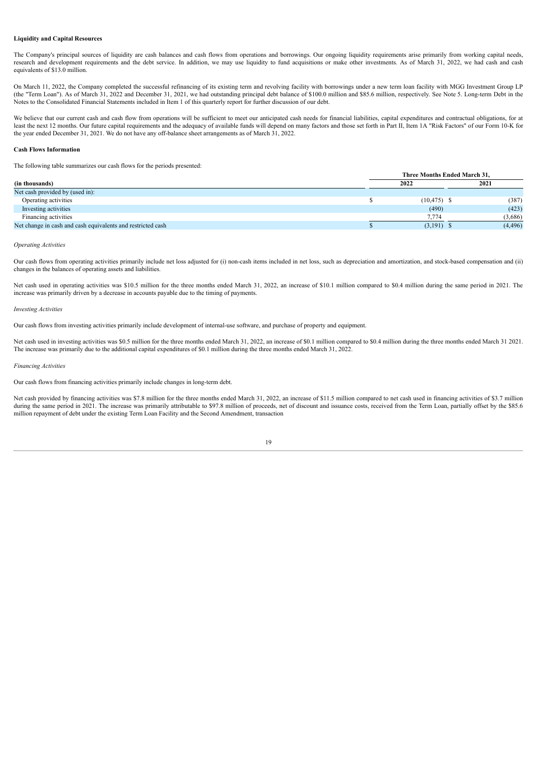### **Liquidity and Capital Resources**

The Company's principal sources of liquidity are cash balances and cash flows from operations and borrowings. Our ongoing liquidity requirements arise primarily from working capital needs, research and development requirements and the debt service. In addition, we may use liquidity to fund acquisitions or make other investments. As of March 31, 2022, we had cash and cash equivalents of \$13.0 million.

On March 11, 2022, the Company completed the successful refinancing of its existing term and revolving facility with borrowings under a new term loan facility with MGG Investment Group LP (the "Term Loan"). As of March 31, 2022 and December 31, 2021, we had outstanding principal debt balance of \$100.0 million and \$85.6 million, respectively. See Note 5. Long-term Debt in the Notes to the Consolidated Financial Statements included in Item 1 of this quarterly report for further discussion of our debt.

We believe that our current cash and cash flow from operations will be sufficient to meet our anticipated cash needs for financial liabilities, capital expenditures and contractual obligations, for at least the next 12 months. Our future capital requirements and the adequacy of available funds will depend on many factors and those set forth in Part II, Item 1A "Risk Factors" of our Form 10-K for the year ended December 31, 2021. We do not have any off-balance sheet arrangements as of March 31, 2022.

#### **Cash Flows Information**

The following table summarizes our cash flows for the periods presented:

|                                                             | Three Months Ended March 31. |          |  |  |
|-------------------------------------------------------------|------------------------------|----------|--|--|
| (in thousands)                                              | 2022                         | 2021     |  |  |
| Net cash provided by (used in):                             |                              |          |  |  |
| Operating activities                                        | $(10, 475)$ \$               | (387)    |  |  |
| Investing activities                                        | (490)                        | (423)    |  |  |
| Financing activities                                        | 7.774                        | (3,686)  |  |  |
| Net change in cash and cash equivalents and restricted cash | $(3,191)$ \$                 | (4, 496) |  |  |

#### *Operating Activities*

Our cash flows from operating activities primarily include net loss adjusted for (i) non-cash items included in net loss, such as depreciation and amortization, and stock-based compensation and (ii) changes in the balances of operating assets and liabilities.

Net cash used in operating activities was \$10.5 million for the three months ended March 31, 2022, an increase of \$10.1 million compared to \$0.4 million during the same period in 2021. The increase was primarily driven by a decrease in accounts payable due to the timing of payments.

#### *Investing Activities*

Our cash flows from investing activities primarily include development of internal-use software, and purchase of property and equipment.

Net cash used in investing activities was \$0.5 million for the three months ended March 31, 2022, an increase of \$0.1 million compared to \$0.4 million during the three months ended March 31 2021. The increase was primarily due to the additional capital expenditures of \$0.1 million during the three months ended March 31, 2022.

#### *Financing Activities*

Our cash flows from financing activities primarily include changes in long-term debt.

Net cash provided by financing activities was \$7.8 million for the three months ended March 31, 2022, an increase of \$11.5 million compared to net cash used in financing activities of \$3.7 million during the same period in 2021. The increase was primarily attributable to \$97.8 million of proceeds, net of discount and issuance costs, received from the Term Loan, partially offset by the \$85.6 million repayment of debt under the existing Term Loan Facility and the Second Amendment, transaction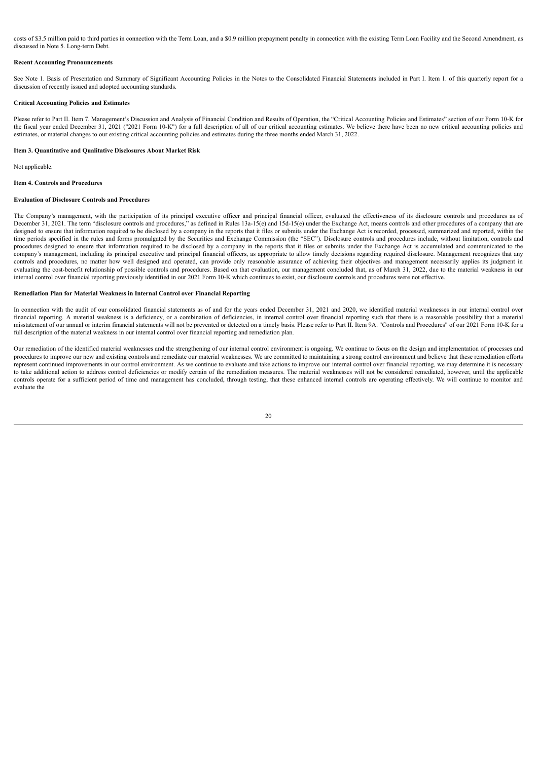costs of \$3.5 million paid to third parties in connection with the Term Loan, and a \$0.9 million prepayment penalty in connection with the existing Term Loan Facility and the Second Amendment, as discussed in Note 5. Long-term Debt.

### **Recent Accounting Pronouncements**

See Note 1. Basis of Presentation and Summary of Significant Accounting Policies in the Notes to the Consolidated Financial Statements included in Part I. Item 1. of this quarterly report for a discussion of recently issued and adopted accounting standards.

#### **Critical Accounting Policies and Estimates**

Please refer to Part II. Item 7. Management's Discussion and Analysis of Financial Condition and Results of Operation, the "Critical Accounting Policies and Estimates" section of our Form 10-K for the fiscal year ended December 31, 2021 ("2021 Form 10-K") for a full description of all of our critical accounting estimates. We believe there have been no new critical accounting policies and estimates, or material changes to our existing critical accounting policies and estimates during the three months ended March 31, 2022.

#### <span id="page-19-0"></span>**Item 3. Quantitative and Qualitative Disclosures About Market Risk**

Not applicable.

## <span id="page-19-1"></span>**Item 4. Controls and Procedures**

### **Evaluation of Disclosure Controls and Procedures**

The Company's management, with the participation of its principal executive officer and principal financial officer, evaluated the effectiveness of its disclosure controls and procedures as of December 31, 2021. The term "disclosure controls and procedures," as defined in Rules 13a-15(e) and 15d-15(e) under the Exchange Act, means controls and other procedures of a company that are designed to ensure that information required to be disclosed by a company in the reports that it files or submits under the Exchange Act is recorded, processed, summarized and reported, within the time periods specified in the rules and forms promulgated by the Securities and Exchange Commission (the "SEC"). Disclosure controls and procedures include, without limitation, controls and procedures designed to ensure that information required to be disclosed by a company in the reports that it files or submits under the Exchange Act is accumulated and communicated to the company's management, including its principal executive and principal financial officers, as appropriate to allow timely decisions regarding required disclosure. Management recognizes that any controls and procedures, no matter how well designed and operated, can provide only reasonable assurance of achieving their objectives and management necessarily applies its judgment in evaluating the cost-benefit relationship of possible controls and procedures. Based on that evaluation, our management concluded that, as of March 31, 2022, due to the material weakness in our internal control over financial reporting previously identified in our 2021 Form 10-K which continues to exist, our disclosure controls and procedures were not effective.

### **Remediation Plan for Material Weakness in Internal Control over Financial Reporting**

In connection with the audit of our consolidated financial statements as of and for the years ended December 31, 2021 and 2020, we identified material weaknesses in our internal control over financial reporting. A material weakness is a deficiency or a combination of deficiencies, in internal control over financial reporting such that there is a reasonable possibility that a material misstatement of our annual or interim financial statements will not be prevented or detected on a timely basis. Please refer to Part II. Item 9A. "Controls and Procedures" of our 2021 Form 10-K for a full description of the material weakness in our internal control over financial reporting and remediation plan.

Our remediation of the identified material weaknesses and the strengthening of our internal control environment is ongoing. We continue to focus on the design and implementation of processes and procedures to improve our new and existing controls and remediate our material weaknesses. We are committed to maintaining a strong control environment and believe that these remediation efforts represent continued improvements in our control environment. As we continue to evaluate and take actions to improve our internal control over financial reporting, we may determine it is necessary to take additional action to address control deficiencies or modify certain of the remediation measures. The material weaknesses will not be considered remediated, however, until the applicable controls operate for a sufficient period of time and management has concluded, through testing, that these enhanced internal controls are operating effectively. We will continue to monitor and evaluate the

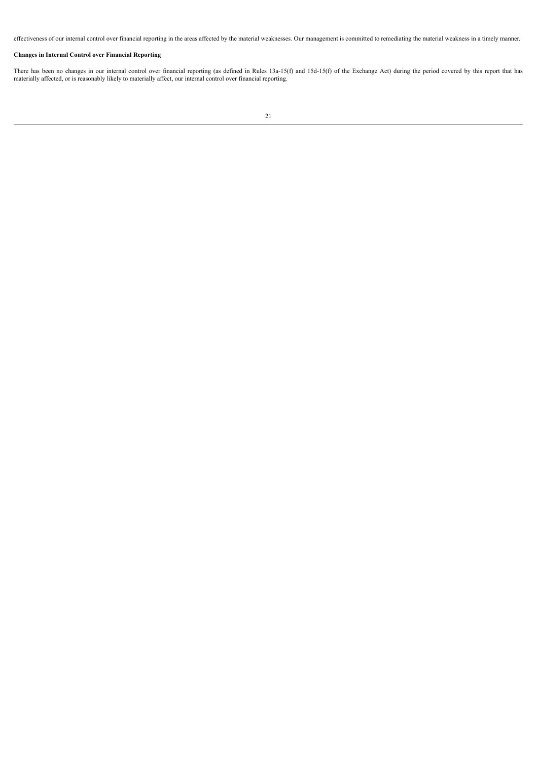effectiveness of our internal control over financial reporting in the areas affected by the material weaknesses. Our management is committed to remediating the material weakness in a timely manner.

## **Changes in Internal Control over Financial Reporting**

<span id="page-20-0"></span>There has been no changes in our internal control over financial reporting (as defined in Rules 13a-15(f) and 15d-15(f) of the Exchange Act) during the period covered by this report that has materially affected, or is reasonably likely to materially affect, our internal control over financial reporting.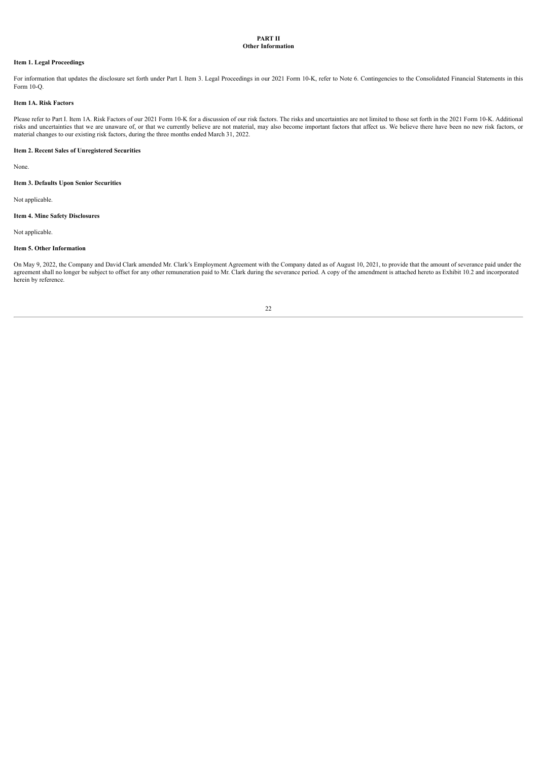#### **PART II Other Information**

## <span id="page-21-0"></span>**Item 1. Legal Proceedings**

For information that updates the disclosure set forth under Part I. Item 3. Legal Proceedings in our 2021 Form 10-K, refer to Note 6. Contingencies to the Consolidated Financial Statements in this Form 10-Q.

### <span id="page-21-1"></span>**Item 1A. Risk Factors**

Please refer to Part I. Item 1A. Risk Factors of our 2021 Form 10-K for a discussion of our risk factors. The risks and uncertainties are not limited to those set forth in the 2021 Form 10-K. Additional risks and uncertainties that we are unaware of, or that we currently believe are not material, may also become important factors that affect us. We believe there have been no new risk factors, or material changes to our existing risk factors, during the three months ended March 31, 2022.

## <span id="page-21-2"></span>**Item 2. Recent Sales of Unregistered Securities**

None.

## <span id="page-21-3"></span>**Item 3. Defaults Upon Senior Securities**

Not applicable.

## <span id="page-21-4"></span>**Item 4. Mine Safety Disclosures**

Not applicable.

## <span id="page-21-5"></span>**Item 5. Other Information**

<span id="page-21-6"></span>On May 9, 2022, the Company and David Clark amended Mr. Clark's Employment Agreement with the Company dated as of August 10, 2021, to provide that the amount of severance paid under the agreement shall no longer be subject to offset for any other remuneration paid to Mr. Clark during the severance period. A copy of the amendment is attached hereto as Exhibit 10.2 and incorporated herein by reference.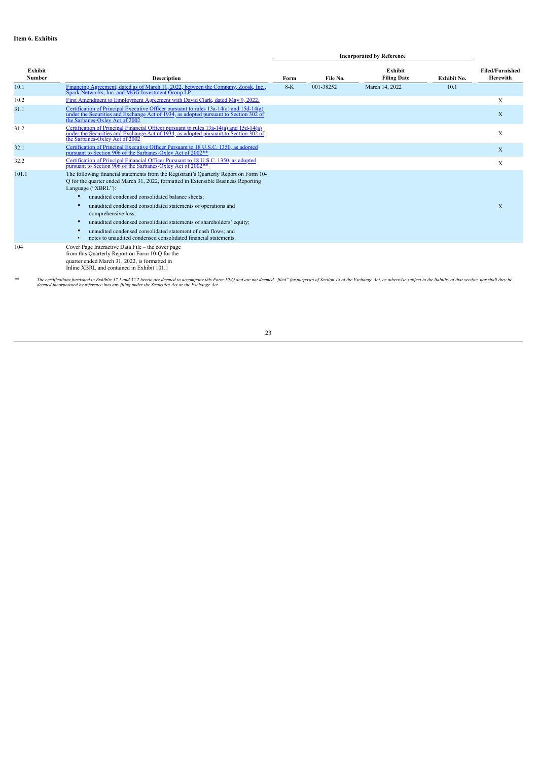| <b>Exhibit</b><br><b>Number</b> | <b>Description</b>                                                                                                                                                                                               | Form  | File No.  | <b>Exhibit</b><br><b>Filing Date</b> | Exhibit No. | <b>Filed/Furnished</b><br>Herewith |
|---------------------------------|------------------------------------------------------------------------------------------------------------------------------------------------------------------------------------------------------------------|-------|-----------|--------------------------------------|-------------|------------------------------------|
| 10.1                            | Financing Agreement, dated as of March 11, 2022, between the Company, Zoosk, Inc.,<br>Spark Networks, Inc. and MGG Investment Group LP.                                                                          | $8-K$ | 001-38252 | March 14, 2022                       | 10.1        |                                    |
| 10.2                            | First Amendment to Employment Agreement with David Clark, dated May 9, 2022.                                                                                                                                     |       |           |                                      |             | X                                  |
| 31.1                            | Certification of Principal Executive Officer pursuant to rules 13a-14(a) and 15d-14(a)<br>under the Securities and Exchange Act of 1934, as adopted pursuant to Section 302 of<br>the Sarbanes-Oxley Act of 2002 |       |           |                                      |             | X                                  |
| 31.2                            | Certification of Principal Financial Officer pursuant to rules 13a-14(a) and 15d-14(a)<br>under the Securities and Exchange Act of 1934, as adopted pursuant to Section 302 of<br>the Sarbanes-Oxley Act of 2002 |       |           |                                      |             | X                                  |
| 32.1                            | Certification of Principal Executive Officer Pursuant to 18 U.S.C. 1350, as adopted<br>pursuant to Section 906 of the Sarbanes-Oxley Act of 2002 <sup>**</sup>                                                   |       |           |                                      |             | X                                  |
| 32.2                            | Certification of Principal Financial Officer Pursuant to 18 U.S.C. 1350, as adopted<br>pursuant to Section 906 of the Sarbanes-Oxley Act of 2002 <sup>**</sup>                                                   |       |           |                                      |             | X                                  |
| 101.1                           | The following financial statements from the Registrant's Quarterly Report on Form 10-<br>O for the quarter ended March 31, 2022, formatted in Extensible Business Reporting<br>Language ("XBRL"):                |       |           |                                      |             |                                    |
|                                 | unaudited condensed consolidated balance sheets;                                                                                                                                                                 |       |           |                                      |             |                                    |
|                                 | unaudited condensed consolidated statements of operations and<br>٠<br>comprehensive loss;                                                                                                                        |       |           |                                      |             | X                                  |
|                                 | unaudited condensed consolidated statements of shareholders' equity;<br>$\bullet$                                                                                                                                |       |           |                                      |             |                                    |
|                                 | unaudited condensed consolidated statement of cash flows; and<br>$\bullet$<br>notes to unaudited condensed consolidated financial statements<br>۰                                                                |       |           |                                      |             |                                    |
| 104                             | Cover Page Interactive Data File – the cover page<br>from this Quarterly Report on Form 10-Q for the<br>quarter ended March 31, 2022, is formatted in<br>Inline XBRL and contained in Exhibit 101.1              |       |           |                                      |             |                                    |

<span id="page-22-0"></span>\*\* The certifications furnished in Exhibits 3.1 and 32.2 hereto are deemed oucompany this Form 10-Q and are not deemed "filed" for purposes of Section 18 of the Exchange Act, or otherwise subject to the liability of that s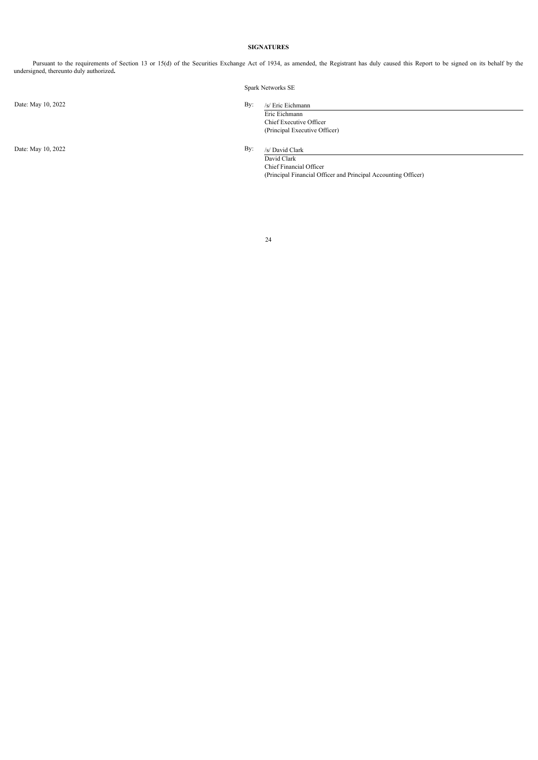# **SIGNATURES**

Pursuant to the requirements of Section 13 or 15(d) of the Securities Exchange Act of 1934, as amended, the Registrant has duly caused this Report to be signed on its behalf by the undersigned, thereunto duly authorized**.**

Date: May 10, 2022

Spark Networks SE

By: /s/ Eric Eichmann Eric Eichmann Chief Executive Officer (Principal Executive Officer)

Date: May 10, 2022 By:

/s/ David Clark

David Clark Chief Financial Officer (Principal Financial Officer and Principal Accounting Officer)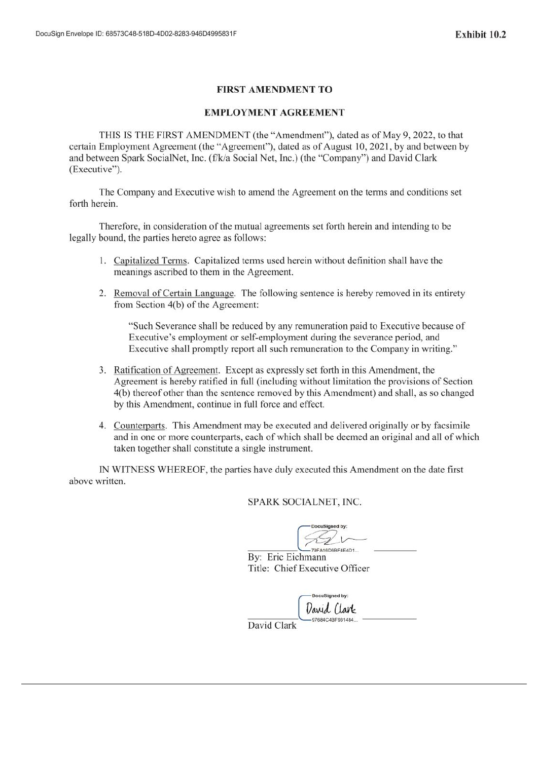# **FIRST AMENDMENT TO**

# **EMPLOYMENT AGREEMENT**

<span id="page-24-0"></span>THIS IS THE FIRST AMENDMENT (the "Amendment"), dated as of May 9, 2022, to that certain Employment Agreement (the "Agreement"), dated as of August 10, 2021, by and between by and between Spark SocialNet, Inc. (f/k/a Social Net, Inc.) (the "Company") and David Clark (Executive").

The Company and Executive wish to amend the Agreement on the terms and conditions set forth herein.

Therefore, in consideration of the mutual agreements set forth herein and intending to be legally bound, the parties hereto agree as follows:

- 1. Capitalized Terms. Capitalized terms used herein without definition shall have the meanings ascribed to them in the Agreement.
- 2. Removal of Certain Language. The following sentence is hereby removed in its entirety from Section 4(b) of the Agreement:

"Such Severance shall be reduced by any remuneration paid to Executive because of Executive's employment or self-employment during the severance period, and Executive shall promptly report all such remuneration to the Company in writing."

- 3. Ratification of Agreement. Except as expressly set forth in this Amendment, the Agreement is hereby ratified in full (including without limitation the provisions of Section 4(b) thereof other than the sentence removed by this Amendment) and shall, as so changed by this Amendment, continue in full force and effect.
- 4. Counterparts. This Amendment may be executed and delivered originally or by facsimile and in one or more counterparts, each of which shall be deemed an original and all of which taken together shall constitute a single instrument.

IN WITNESS WHEREOF, the parties have duly executed this Amendment on the date first above written.

SPARK SOCIALNET, INC.

DocuSigned by:  $\nu$ -79FA16D6BF4E4D1...

By: Eric Eichmann Title: Chief Executive Officer

DocuSigned by David Clark -97684C4BF931484

David Clark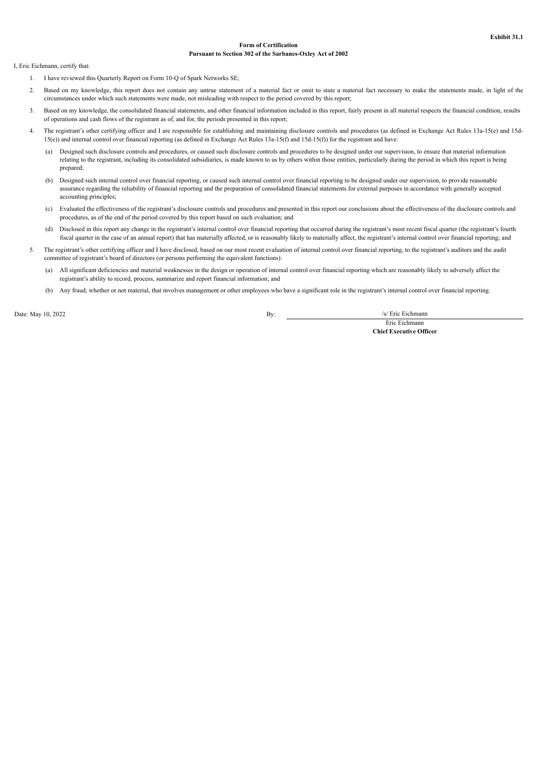### **Form of Certification Pursuant to Section 302 of the Sarbanes-Oxley Act of 2002**

<span id="page-26-0"></span>I, Eric Eichmann, certify that:

- 1. I have reviewed this Quarterly Report on Form 10-Q of Spark Networks SE;
- 2. Based on my knowledge, this report does not contain any untrue statement of a material fact or omit to state a material fact necessary to make the statements made, in light of the circumstances under which such statements were made, not misleading with respect to the period covered by this report;
- 3. Based on my knowledge, the consolidated financial statements, and other financial information included in this report, fairly present in all material respects the financial condition, results of operations and cash flows of the registrant as of, and for, the periods presented in this report;
- 4. The registrant's other certifying officer and I are responsible for establishing and maintaining disclosure controls and procedures (as defined in Exchange Act Rules 13a-15(e) and 15d-15(e)) and internal control over financial reporting (as defined in Exchange Act Rules 13a-15(f) and 15d-15(f)) for the registrant and have:
	- (a) Designed such disclosure controls and procedures, or caused such disclosure controls and procedures to be designed under our supervision, to ensure that material information relating to the registrant, including its consolidated subsidiaries, is made known to us by others within those entities, particularly during the period in which this report is being prepared;
	- (b) Designed such internal control over financial reporting, or caused such internal control over financial reporting to be designed under our supervision, to provide reasonable assurance regarding the reliability of financial reporting and the preparation of consolidated financial statements for external purposes in accordance with generally accepted accounting principles;
	- (c) Evaluated the effectiveness of the registrant's disclosure controls and procedures and presented in this report our conclusions about the effectiveness of the disclosure controls and procedures, as of the end of the period covered by this report based on such evaluation; and
	- (d) Disclosed in this report any change in the registrant's internal control over financial reporting that occurred during the registrant's most recent fiscal quarter (the registrant's fourth fiscal quarter in the case of an annual report) that has materially affected, or is reasonably likely to materially affect, the registrant's internal control over financial reporting; and
- 5. The registrant's other certifying officer and I have disclosed, based on our most recent evaluation of internal control over financial reporting, to the registrant's auditors and the audit committee of registrant's board of directors (or persons performing the equivalent functions):
	- (a) All significant deficiencies and material weaknesses in the design or operation of internal control over financial reporting which are reasonably likely to adversely affect the registrant's ability to record, process, summarize and report financial information; and
	- (b) Any fraud, whether or not material, that involves management or other employees who have a significant role in the registrant's internal control over financial reporting.

Date: May  $10, 2022$  By:

/s/ Eric Eichmann Eric Eichmann

**Chief Executive Officer**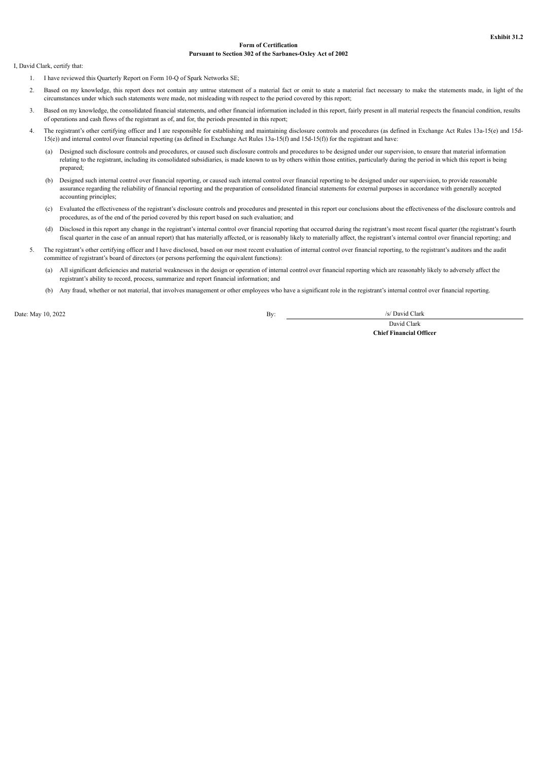### **Form of Certification Pursuant to Section 302 of the Sarbanes-Oxley Act of 2002**

<span id="page-27-0"></span>I, David Clark, certify that:

- 1. I have reviewed this Quarterly Report on Form 10-Q of Spark Networks SE;
- 2. Based on my knowledge, this report does not contain any untrue statement of a material fact or omit to state a material fact necessary to make the statements made, in light of the circumstances under which such statements were made, not misleading with respect to the period covered by this report;
- 3. Based on my knowledge, the consolidated financial statements, and other financial information included in this report, fairly present in all material respects the financial condition, results of operations and cash flows of the registrant as of, and for, the periods presented in this report;
- 4. The registrant's other certifying officer and I are responsible for establishing and maintaining disclosure controls and procedures (as defined in Exchange Act Rules 13a-15(e) and 15d-15(e)) and internal control over financial reporting (as defined in Exchange Act Rules 13a-15(f) and 15d-15(f)) for the registrant and have:
	- (a) Designed such disclosure controls and procedures, or caused such disclosure controls and procedures to be designed under our supervision, to ensure that material information relating to the registrant, including its consolidated subsidiaries, is made known to us by others within those entities, particularly during the period in which this report is being prepared;
	- (b) Designed such internal control over financial reporting, or caused such internal control over financial reporting to be designed under our supervision, to provide reasonable assurance regarding the reliability of financial reporting and the preparation of consolidated financial statements for external purposes in accordance with generally accepted accounting principles;
	- (c) Evaluated the effectiveness of the registrant's disclosure controls and procedures and presented in this report our conclusions about the effectiveness of the disclosure controls and procedures, as of the end of the period covered by this report based on such evaluation; and
	- (d) Disclosed in this report any change in the registrant's internal control over financial reporting that occurred during the registrant's most recent fiscal quarter (the registrant's fourth fiscal quarter in the case of an annual report) that has materially affected, or is reasonably likely to materially affect, the registrant's internal control over financial reporting; and
- 5. The registrant's other certifying officer and I have disclosed, based on our most recent evaluation of internal control over financial reporting, to the registrant's auditors and the audit committee of registrant's board of directors (or persons performing the equivalent functions):
	- (a) All significant deficiencies and material weaknesses in the design or operation of internal control over financial reporting which are reasonably likely to adversely affect the registrant's ability to record, process, summarize and report financial information; and
	- (b) Any fraud, whether or not material, that involves management or other employees who have a significant role in the registrant's internal control over financial reporting.

Date: May  $10, 2022$  By:

/s/ David Clark David Clark

**Chief Financial Officer**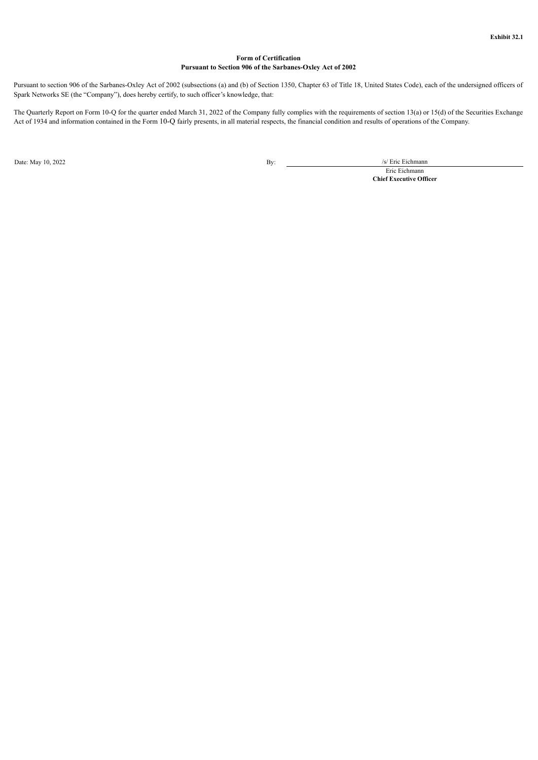## **Form of Certification Pursuant to Section 906 of the Sarbanes-Oxley Act of 2002**

<span id="page-28-0"></span>Pursuant to section 906 of the Sarbanes-Oxley Act of 2002 (subsections (a) and (b) of Section 1350, Chapter 63 of Title 18, United States Code), each of the undersigned officers of Spark Networks SE (the "Company"), does hereby certify, to such officer's knowledge, that:

The Quarterly Report on Form 10-Q for the quarter ended March 31, 2022 of the Company fully complies with the requirements of section 13(a) or 15(d) of the Securities Exchange Act of 1934 and information contained in the Form 10-Q fairly presents, in all material respects, the financial condition and results of operations of the Company.

Date: May 10, 2022 <br>By: /s/ Eric Eichmann<br>By: /s/ Eric Eichmann

Eric Eichmann **Chief Executive Officer**